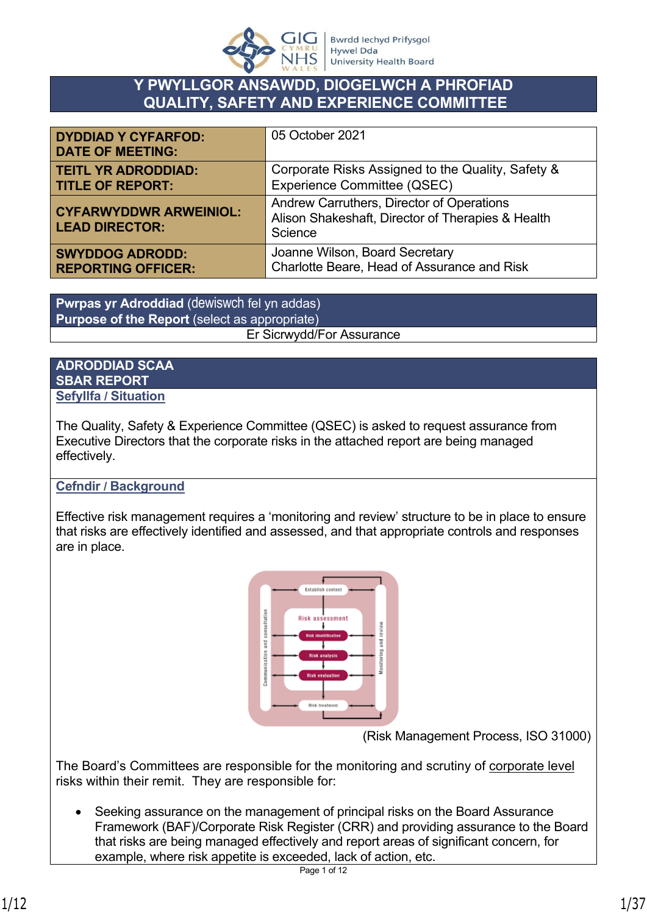

# **Y PWYLLGOR ANSAWDD, DIOGELWCH A PHROFIAD QUALITY, SAFETY AND EXPERIENCE COMMITTEE**

| <b>DYDDIAD Y CYFARFOD:</b><br><b>DATE OF MEETING:</b>  | 05 October 2021                                                                                           |
|--------------------------------------------------------|-----------------------------------------------------------------------------------------------------------|
| <b>TEITL YR ADRODDIAD:</b>                             | Corporate Risks Assigned to the Quality, Safety &                                                         |
| <b>TITLE OF REPORT:</b>                                | Experience Committee (QSEC)                                                                               |
| <b>CYFARWYDDWR ARWEINIOL:</b><br><b>LEAD DIRECTOR:</b> | Andrew Carruthers, Director of Operations<br>Alison Shakeshaft, Director of Therapies & Health<br>Science |
| <b>SWYDDOG ADRODD:</b>                                 | Joanne Wilson, Board Secretary                                                                            |
| <b>REPORTING OFFICER:</b>                              | Charlotte Beare, Head of Assurance and Risk                                                               |

**Pwrpas yr Adroddiad** (dewiswch fel yn addas) **Purpose of the Report** (select as appropriate) Er Sicrwydd/For Assurance

#### **ADRODDIAD SCAA SBAR REPORT Sefyllfa / Situation**

The Quality, Safety & Experience Committee (QSEC) is asked to request assurance from Executive Directors that the corporate risks in the attached report are being managed effectively.

## **Cefndir / Background**

Effective risk management requires a 'monitoring and review' structure to be in place to ensure that risks are effectively identified and assessed, and that appropriate controls and responses are in place.



(Risk Management Process, ISO 31000)

The Board's Committees are responsible for the monitoring and scrutiny of corporate level risks within their remit. They are responsible for:

• Seeking assurance on the management of principal risks on the Board Assurance Framework (BAF)/Corporate Risk Register (CRR) and providing assurance to the Board that risks are being managed effectively and report areas of significant concern, for example, where risk appetite is exceeded, lack of action, etc.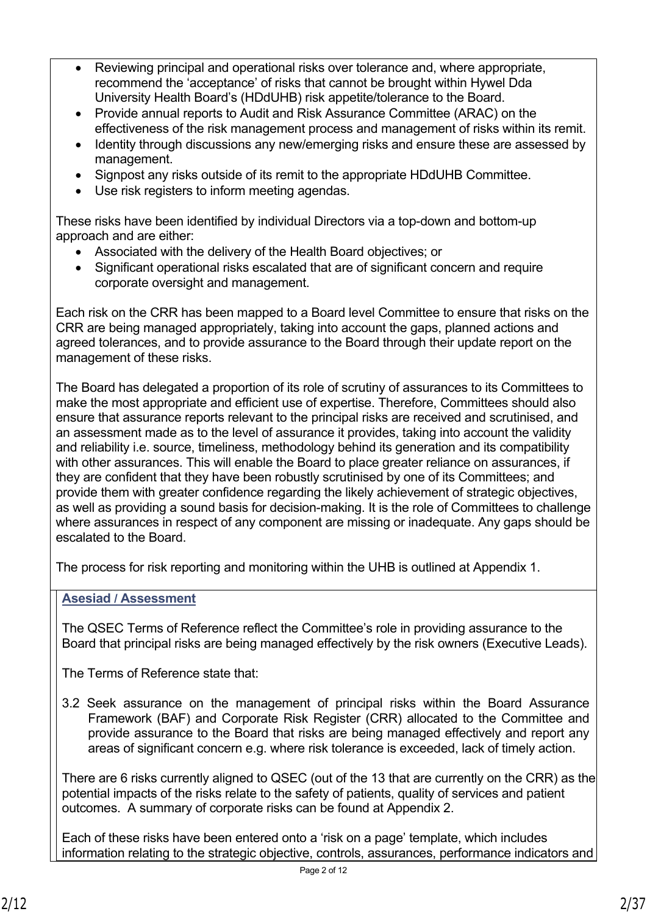- Reviewing principal and operational risks over tolerance and, where appropriate, recommend the 'acceptance' of risks that cannot be brought within Hywel Dda University Health Board's (HDdUHB) risk appetite/tolerance to the Board.
- Provide annual reports to Audit and Risk Assurance Committee (ARAC) on the effectiveness of the risk management process and management of risks within its remit.
- Identity through discussions any new/emerging risks and ensure these are assessed by management.
- Signpost any risks outside of its remit to the appropriate HDdUHB Committee.
- Use risk registers to inform meeting agendas.

These risks have been identified by individual Directors via a top-down and bottom-up approach and are either:

- Associated with the delivery of the Health Board objectives; or
- Significant operational risks escalated that are of significant concern and require corporate oversight and management.

Each risk on the CRR has been mapped to a Board level Committee to ensure that risks on the CRR are being managed appropriately, taking into account the gaps, planned actions and agreed tolerances, and to provide assurance to the Board through their update report on the management of these risks.

The Board has delegated a proportion of its role of scrutiny of assurances to its Committees to make the most appropriate and efficient use of expertise. Therefore, Committees should also ensure that assurance reports relevant to the principal risks are received and scrutinised, and an assessment made as to the level of assurance it provides, taking into account the validity and reliability i.e. source, timeliness, methodology behind its generation and its compatibility with other assurances. This will enable the Board to place greater reliance on assurances, if they are confident that they have been robustly scrutinised by one of its Committees; and provide them with greater confidence regarding the likely achievement of strategic objectives, as well as providing a sound basis for decision-making. It is the role of Committees to challenge where assurances in respect of any component are missing or inadequate. Any gaps should be escalated to the Board.

The process for risk reporting and monitoring within the UHB is outlined at Appendix 1.

#### **Asesiad / Assessment**

The QSEC Terms of Reference reflect the Committee's role in providing assurance to the Board that principal risks are being managed effectively by the risk owners (Executive Leads).

The Terms of Reference state that:

3.2 Seek assurance on the management of principal risks within the Board Assurance Framework (BAF) and Corporate Risk Register (CRR) allocated to the Committee and provide assurance to the Board that risks are being managed effectively and report any areas of significant concern e.g. where risk tolerance is exceeded, lack of timely action.

There are 6 risks currently aligned to QSEC (out of the 13 that are currently on the CRR) as the potential impacts of the risks relate to the safety of patients, quality of services and patient outcomes. A summary of corporate risks can be found at Appendix 2.

Each of these risks have been entered onto a 'risk on a page' template, which includes information relating to the strategic objective, controls, assurances, performance indicators and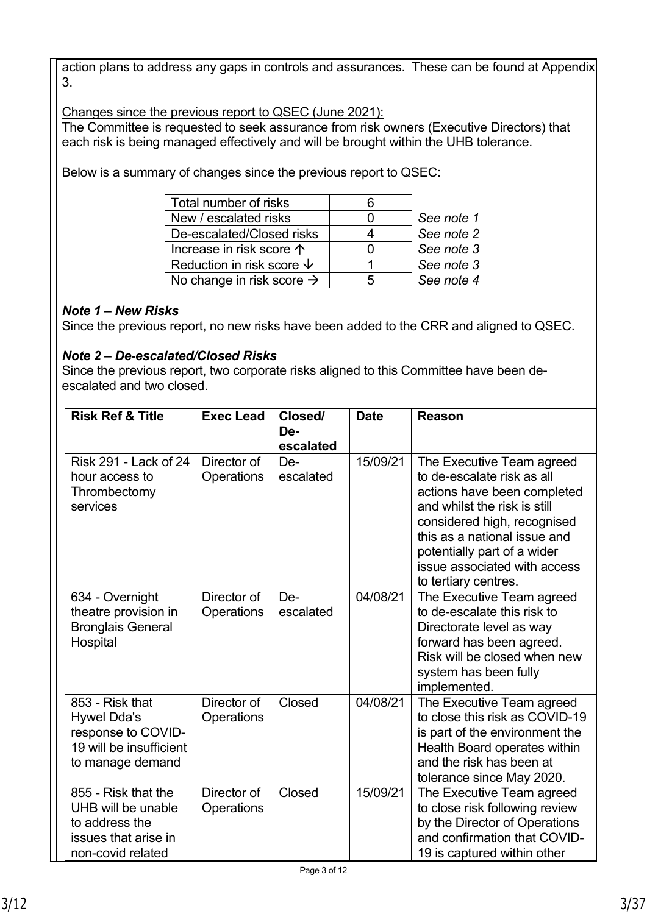action plans to address any gaps in controls and assurances. These can be found at Appendix 3.

Changes since the previous report to QSEC (June 2021):

The Committee is requested to seek assurance from risk owners (Executive Directors) that each risk is being managed effectively and will be brought within the UHB tolerance.

Below is a summary of changes since the previous report to QSEC:

| Total number of risks                 |            |
|---------------------------------------|------------|
| New / escalated risks                 | See note 1 |
| De-escalated/Closed risks             | See note 2 |
| Increase in risk score $\uparrow$     | See note 3 |
| Reduction in risk score $\psi$        | See note 3 |
| No change in risk score $\rightarrow$ | See note 4 |
|                                       |            |

## *Note 1 – New Risks*

Since the previous report, no new risks have been added to the CRR and aligned to QSEC.

## *Note 2 – De-escalated/Closed Risks*

Since the previous report, two corporate risks aligned to this Committee have been deescalated and two closed.

| <b>Risk Ref &amp; Title</b>                                                                                | <b>Exec Lead</b>          | Closed/<br>De-<br>escalated | <b>Date</b> | <b>Reason</b>                                                                                                                                                                                                                                                                |
|------------------------------------------------------------------------------------------------------------|---------------------------|-----------------------------|-------------|------------------------------------------------------------------------------------------------------------------------------------------------------------------------------------------------------------------------------------------------------------------------------|
| Risk 291 - Lack of 24<br>hour access to<br>Thrombectomy<br>services                                        | Director of<br>Operations | De-<br>escalated            | 15/09/21    | The Executive Team agreed<br>to de-escalate risk as all<br>actions have been completed<br>and whilst the risk is still<br>considered high, recognised<br>this as a national issue and<br>potentially part of a wider<br>issue associated with access<br>to tertiary centres. |
| 634 - Overnight<br>theatre provision in<br><b>Bronglais General</b><br>Hospital                            | Director of<br>Operations | De-<br>escalated            | 04/08/21    | The Executive Team agreed<br>to de-escalate this risk to<br>Directorate level as way<br>forward has been agreed.<br>Risk will be closed when new<br>system has been fully<br>implemented.                                                                                    |
| 853 - Risk that<br><b>Hywel Dda's</b><br>response to COVID-<br>19 will be insufficient<br>to manage demand | Director of<br>Operations | Closed                      | 04/08/21    | The Executive Team agreed<br>to close this risk as COVID-19<br>is part of the environment the<br>Health Board operates within<br>and the risk has been at<br>tolerance since May 2020.                                                                                       |
| 855 - Risk that the<br>UHB will be unable<br>to address the<br>issues that arise in<br>non-covid related   | Director of<br>Operations | Closed                      | 15/09/21    | The Executive Team agreed<br>to close risk following review<br>by the Director of Operations<br>and confirmation that COVID-<br>19 is captured within other                                                                                                                  |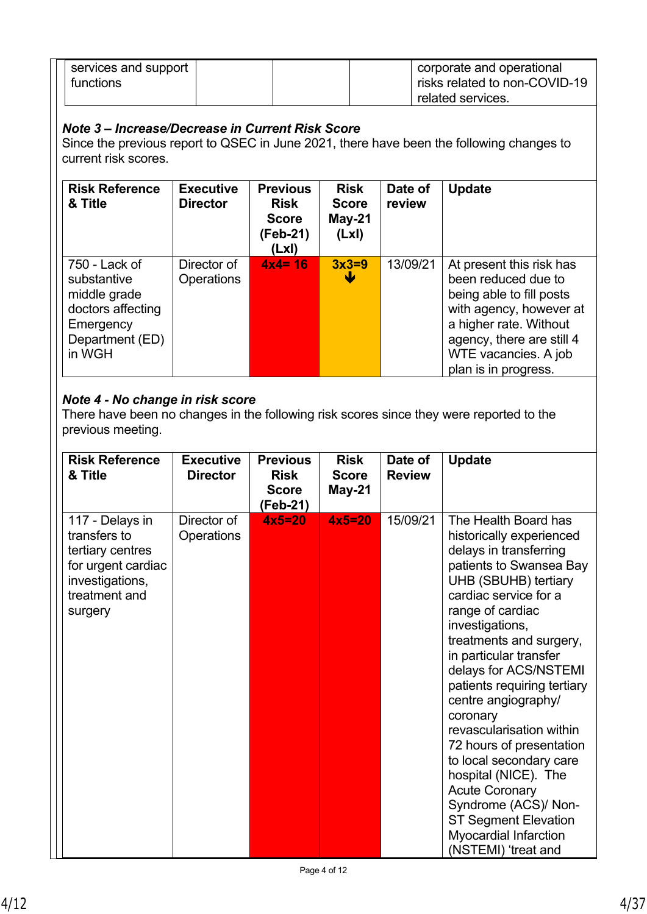| services and support |  | corporate and operational     |
|----------------------|--|-------------------------------|
| functions            |  | risks related to non-COVID-19 |
|                      |  | related services.             |

## *Note 3 – Increase/Decrease in Current Risk Score*

Since the previous report to QSEC in June 2021, there have been the following changes to current risk scores.

| <b>Risk Reference</b><br>& Title                                                                            | <b>Executive</b><br><b>Director</b> | <b>Previous</b><br><b>Risk</b><br><b>Score</b><br>(Feb-21)<br>(LxI) | <b>Risk</b><br><b>Score</b><br>$May-21$<br>(Lx) | Date of<br>review | <b>Update</b>                                                                                                                                                                                                 |
|-------------------------------------------------------------------------------------------------------------|-------------------------------------|---------------------------------------------------------------------|-------------------------------------------------|-------------------|---------------------------------------------------------------------------------------------------------------------------------------------------------------------------------------------------------------|
| 750 - Lack of<br>substantive<br>middle grade<br>doctors affecting<br>Emergency<br>Department (ED)<br>in WGH | Director of<br><b>Operations</b>    | $4x4 = 16$                                                          | $3x3=9$<br>₩                                    | 13/09/21          | At present this risk has<br>been reduced due to<br>being able to fill posts<br>with agency, however at<br>a higher rate. Without<br>agency, there are still 4<br>WTE vacancies. A job<br>plan is in progress. |

## *Note 4 - No change in risk score*

There have been no changes in the following risk scores since they were reported to the previous meeting.

| <b>Risk Reference</b><br>& Title                                                                                         | <b>Executive</b><br><b>Director</b> | <b>Previous</b><br><b>Risk</b><br><b>Score</b><br>(Feb-21) | <b>Risk</b><br><b>Score</b><br>May-21 | Date of<br><b>Review</b> | <b>Update</b>                                                                                                                                                                                                                                                                                                                                                                                                                                                                                                                                                                                   |
|--------------------------------------------------------------------------------------------------------------------------|-------------------------------------|------------------------------------------------------------|---------------------------------------|--------------------------|-------------------------------------------------------------------------------------------------------------------------------------------------------------------------------------------------------------------------------------------------------------------------------------------------------------------------------------------------------------------------------------------------------------------------------------------------------------------------------------------------------------------------------------------------------------------------------------------------|
| 117 - Delays in<br>transfers to<br>tertiary centres<br>for urgent cardiac<br>investigations,<br>treatment and<br>surgery | Director of<br><b>Operations</b>    | $4x5=20$                                                   | $4x5=20$                              | 15/09/21                 | The Health Board has<br>historically experienced<br>delays in transferring<br>patients to Swansea Bay<br>UHB (SBUHB) tertiary<br>cardiac service for a<br>range of cardiac<br>investigations,<br>treatments and surgery,<br>in particular transfer<br>delays for ACS/NSTEMI<br>patients requiring tertiary<br>centre angiography/<br>coronary<br>revascularisation within<br>72 hours of presentation<br>to local secondary care<br>hospital (NICE). The<br><b>Acute Coronary</b><br>Syndrome (ACS)/ Non-<br><b>ST Segment Elevation</b><br><b>Myocardial Infarction</b><br>(NSTEMI) 'treat and |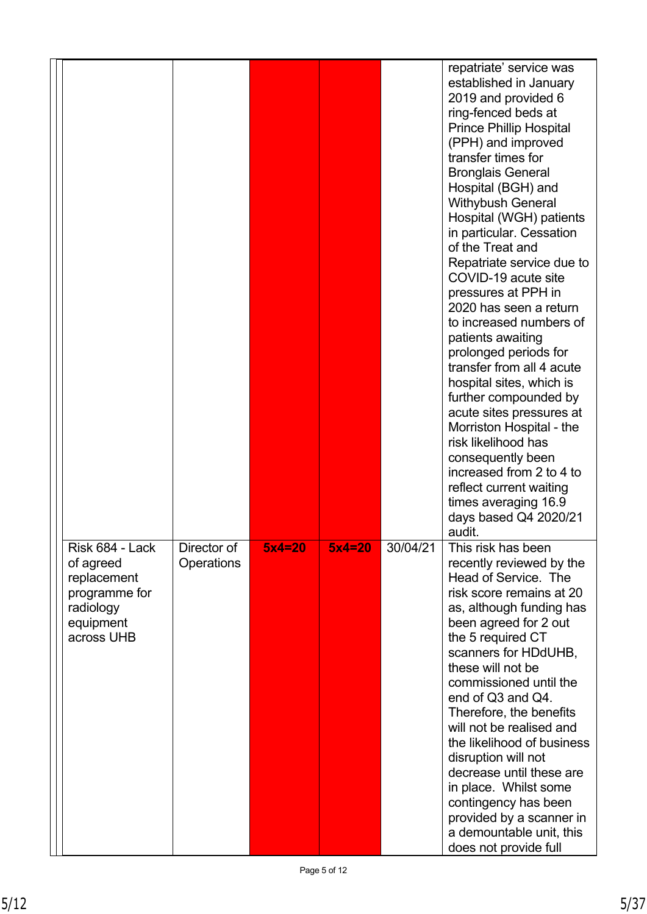|                                                                                                      |                                  |            |          |          | repatriate' service was<br>established in January<br>2019 and provided 6<br>ring-fenced beds at<br><b>Prince Phillip Hospital</b><br>(PPH) and improved<br>transfer times for<br><b>Bronglais General</b><br>Hospital (BGH) and<br><b>Withybush General</b><br>Hospital (WGH) patients<br>in particular. Cessation<br>of the Treat and<br>Repatriate service due to<br>COVID-19 acute site<br>pressures at PPH in<br>2020 has seen a return<br>to increased numbers of<br>patients awaiting<br>prolonged periods for<br>transfer from all 4 acute<br>hospital sites, which is<br>further compounded by<br>acute sites pressures at<br>Morriston Hospital - the<br>risk likelihood has<br>consequently been<br>increased from 2 to 4 to<br>reflect current waiting<br>times averaging 16.9<br>days based Q4 2020/21<br>audit. |
|------------------------------------------------------------------------------------------------------|----------------------------------|------------|----------|----------|------------------------------------------------------------------------------------------------------------------------------------------------------------------------------------------------------------------------------------------------------------------------------------------------------------------------------------------------------------------------------------------------------------------------------------------------------------------------------------------------------------------------------------------------------------------------------------------------------------------------------------------------------------------------------------------------------------------------------------------------------------------------------------------------------------------------------|
| Risk 684 - Lack<br>of agreed<br>replacement<br>programme for<br>radiology<br>equipment<br>across UHB | Director of<br><b>Operations</b> | $5x4 = 20$ | $5x4=20$ | 30/04/21 | This risk has been<br>recently reviewed by the<br>Head of Service. The<br>risk score remains at 20<br>as, although funding has<br>been agreed for 2 out<br>the 5 required CT<br>scanners for HDdUHB,<br>these will not be<br>commissioned until the<br>end of Q3 and Q4.<br>Therefore, the benefits<br>will not be realised and<br>the likelihood of business<br>disruption will not<br>decrease until these are<br>in place. Whilst some<br>contingency has been<br>provided by a scanner in<br>a demountable unit, this<br>does not provide full                                                                                                                                                                                                                                                                           |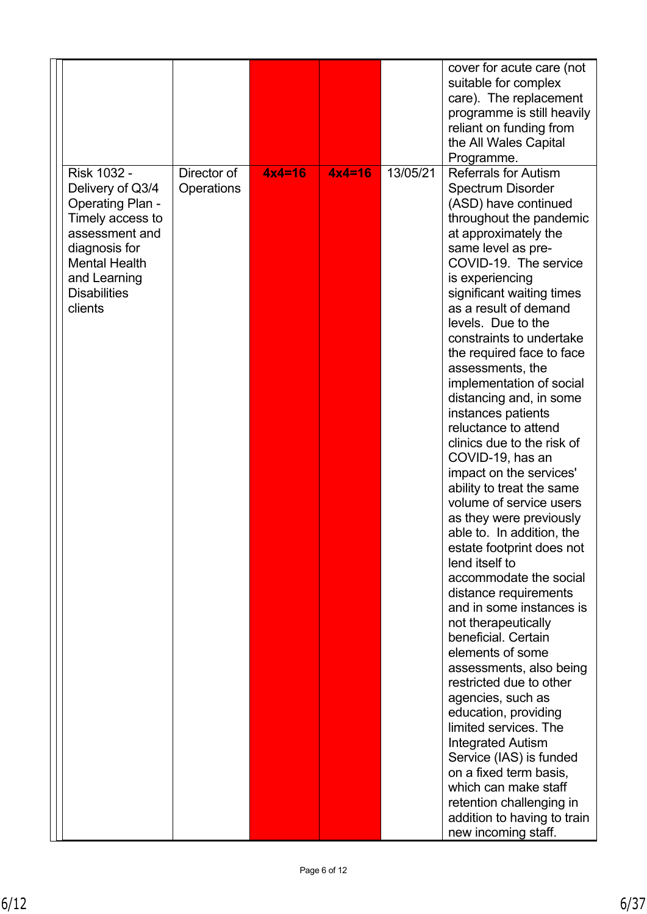|                                                                                                                                                                                             |                           |          |          |          | cover for acute care (not<br>suitable for complex<br>care). The replacement<br>programme is still heavily<br>reliant on funding from<br>the All Wales Capital                                                                                                                                                                                                                                                                                                                                                                                                                                                                                                                                                                                                                                                                                                                                                                                                                                                                                                                                                                                                                          |
|---------------------------------------------------------------------------------------------------------------------------------------------------------------------------------------------|---------------------------|----------|----------|----------|----------------------------------------------------------------------------------------------------------------------------------------------------------------------------------------------------------------------------------------------------------------------------------------------------------------------------------------------------------------------------------------------------------------------------------------------------------------------------------------------------------------------------------------------------------------------------------------------------------------------------------------------------------------------------------------------------------------------------------------------------------------------------------------------------------------------------------------------------------------------------------------------------------------------------------------------------------------------------------------------------------------------------------------------------------------------------------------------------------------------------------------------------------------------------------------|
|                                                                                                                                                                                             |                           |          |          |          | Programme.                                                                                                                                                                                                                                                                                                                                                                                                                                                                                                                                                                                                                                                                                                                                                                                                                                                                                                                                                                                                                                                                                                                                                                             |
| Risk 1032 -<br>Delivery of Q3/4<br><b>Operating Plan -</b><br>Timely access to<br>assessment and<br>diagnosis for<br><b>Mental Health</b><br>and Learning<br><b>Disabilities</b><br>clients | Director of<br>Operations | $4x4=16$ | $4x4=16$ | 13/05/21 | <b>Referrals for Autism</b><br><b>Spectrum Disorder</b><br>(ASD) have continued<br>throughout the pandemic<br>at approximately the<br>same level as pre-<br>COVID-19. The service<br>is experiencing<br>significant waiting times<br>as a result of demand<br>levels. Due to the<br>constraints to undertake<br>the required face to face<br>assessments, the<br>implementation of social<br>distancing and, in some<br>instances patients<br>reluctance to attend<br>clinics due to the risk of<br>COVID-19, has an<br>impact on the services'<br>ability to treat the same<br>volume of service users<br>as they were previously<br>able to. In addition, the<br>estate footprint does not<br>lend itself to<br>accommodate the social<br>distance requirements<br>and in some instances is<br>not therapeutically<br>beneficial. Certain<br>elements of some<br>assessments, also being<br>restricted due to other<br>agencies, such as<br>education, providing<br>limited services. The<br><b>Integrated Autism</b><br>Service (IAS) is funded<br>on a fixed term basis,<br>which can make staff<br>retention challenging in<br>addition to having to train<br>new incoming staff. |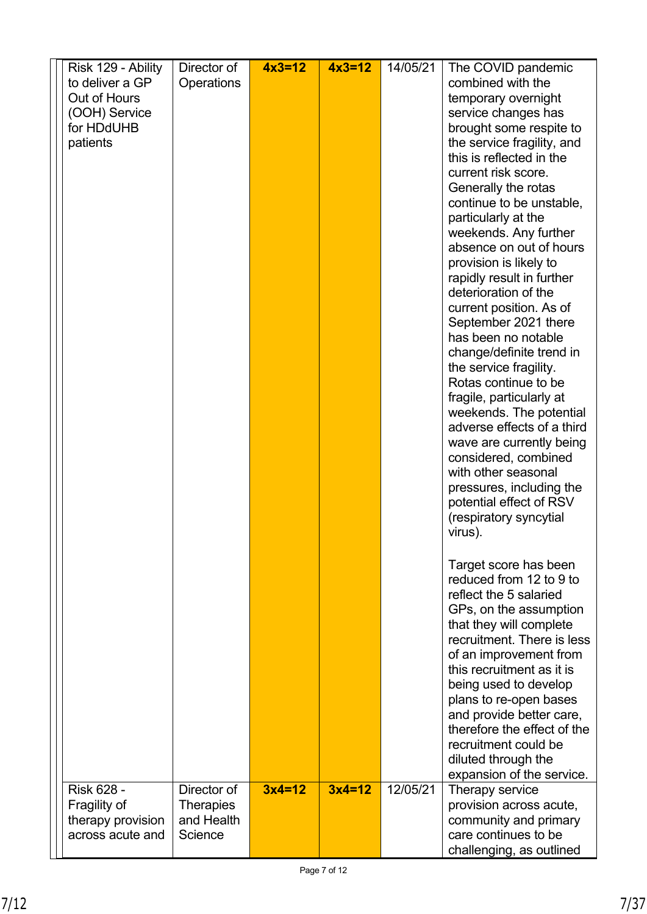| Risk 129 - Ability<br>to deliver a GP<br>Out of Hours<br>(OOH) Service<br>for HDdUHB<br>patients | Director of<br>Operations                                | $4x3=12$ | $4x3=12$ | 14/05/21 | The COVID pandemic<br>combined with the<br>temporary overnight<br>service changes has<br>brought some respite to<br>the service fragility, and<br>this is reflected in the<br>current risk score.<br>Generally the rotas<br>continue to be unstable,<br>particularly at the<br>weekends. Any further<br>absence on out of hours<br>provision is likely to<br>rapidly result in further<br>deterioration of the<br>current position. As of<br>September 2021 there<br>has been no notable<br>change/definite trend in<br>the service fragility.<br>Rotas continue to be<br>fragile, particularly at<br>weekends. The potential<br>adverse effects of a third<br>wave are currently being<br>considered, combined<br>with other seasonal<br>pressures, including the<br>potential effect of RSV<br>(respiratory syncytial<br>virus).<br>Target score has been<br>reduced from 12 to 9 to<br>reflect the 5 salaried<br>GPs, on the assumption<br>that they will complete<br>recruitment. There is less<br>of an improvement from<br>this recruitment as it is<br>being used to develop<br>plans to re-open bases |
|--------------------------------------------------------------------------------------------------|----------------------------------------------------------|----------|----------|----------|---------------------------------------------------------------------------------------------------------------------------------------------------------------------------------------------------------------------------------------------------------------------------------------------------------------------------------------------------------------------------------------------------------------------------------------------------------------------------------------------------------------------------------------------------------------------------------------------------------------------------------------------------------------------------------------------------------------------------------------------------------------------------------------------------------------------------------------------------------------------------------------------------------------------------------------------------------------------------------------------------------------------------------------------------------------------------------------------------------------|
|                                                                                                  |                                                          |          |          |          | and provide better care,<br>therefore the effect of the<br>recruitment could be<br>diluted through the                                                                                                                                                                                                                                                                                                                                                                                                                                                                                                                                                                                                                                                                                                                                                                                                                                                                                                                                                                                                        |
| <b>Risk 628 -</b><br>Fragility of<br>therapy provision<br>across acute and                       | Director of<br><b>Therapies</b><br>and Health<br>Science | $3x4=12$ | $3x4=12$ | 12/05/21 | expansion of the service.<br>Therapy service<br>provision across acute,<br>community and primary<br>care continues to be<br>challenging, as outlined                                                                                                                                                                                                                                                                                                                                                                                                                                                                                                                                                                                                                                                                                                                                                                                                                                                                                                                                                          |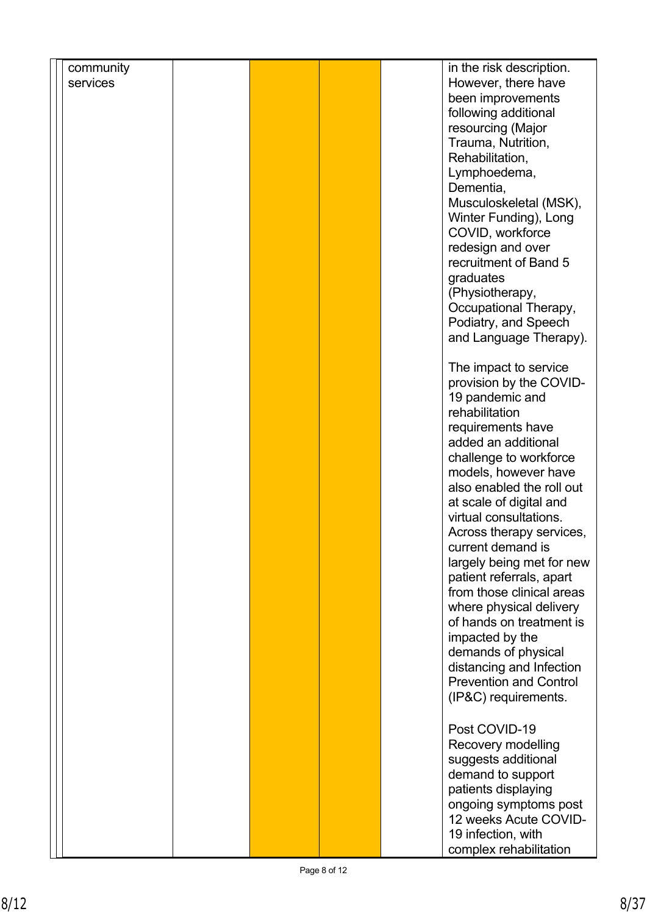| community |                               |
|-----------|-------------------------------|
|           | in the risk description.      |
| services  | However, there have           |
|           |                               |
|           | been improvements             |
|           | following additional          |
|           | resourcing (Major             |
|           |                               |
|           | Trauma, Nutrition,            |
|           | Rehabilitation,               |
|           | Lymphoedema,                  |
|           |                               |
|           | Dementia,                     |
|           | Musculoskeletal (MSK),        |
|           | Winter Funding), Long         |
|           |                               |
|           | COVID, workforce              |
|           | redesign and over             |
|           | recruitment of Band 5         |
|           |                               |
|           | graduates                     |
|           | (Physiotherapy,               |
|           | Occupational Therapy,         |
|           |                               |
|           | Podiatry, and Speech          |
|           | and Language Therapy).        |
|           |                               |
|           |                               |
|           | The impact to service         |
|           | provision by the COVID-       |
|           | 19 pandemic and               |
|           |                               |
|           | rehabilitation                |
|           | requirements have             |
|           | added an additional           |
|           |                               |
|           | challenge to workforce        |
|           | models, however have          |
|           | also enabled the roll out     |
|           |                               |
|           | at scale of digital and       |
|           | virtual consultations.        |
|           | Across therapy services,      |
|           |                               |
|           | current demand is             |
|           | largely being met for new     |
|           | patient referrals, apart      |
|           | from those clinical areas     |
|           |                               |
|           | where physical delivery       |
|           | of hands on treatment is      |
|           |                               |
|           | impacted by the               |
|           | demands of physical           |
|           | distancing and Infection      |
|           | <b>Prevention and Control</b> |
|           |                               |
|           | (IP&C) requirements.          |
|           |                               |
|           | Post COVID-19                 |
|           |                               |
|           | Recovery modelling            |
|           | suggests additional           |
|           |                               |
|           | demand to support             |
|           |                               |
|           | patients displaying           |
|           |                               |
|           | ongoing symptoms post         |
|           | 12 weeks Acute COVID-         |
|           | 19 infection, with            |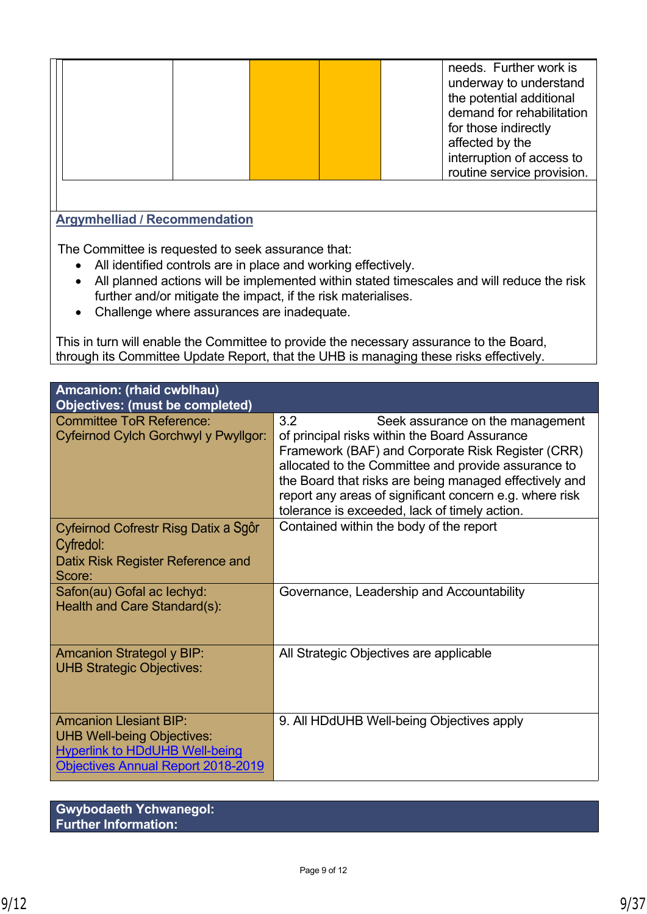|                                      | needs. Further work is<br>underway to understand<br>the potential additional<br>demand for rehabilitation<br>for those indirectly<br>affected by the<br>interruption of access to<br>routine service provision. |
|--------------------------------------|-----------------------------------------------------------------------------------------------------------------------------------------------------------------------------------------------------------------|
|                                      |                                                                                                                                                                                                                 |
| <b>Argymhelliad / Recommendation</b> |                                                                                                                                                                                                                 |

The Committee is requested to seek assurance that:

- All identified controls are in place and working effectively.
- All planned actions will be implemented within stated timescales and will reduce the risk further and/or mitigate the impact, if the risk materialises.
- Challenge where assurances are inadequate.

This in turn will enable the Committee to provide the necessary assurance to the Board, through its Committee Update Report, that the UHB is managing these risks effectively.

| Amcanion: (rhaid cwblhau)<br>Objectives: (must be completed)                                                                                             |                                                                                                                                                                                                                                                                                                                                                                            |
|----------------------------------------------------------------------------------------------------------------------------------------------------------|----------------------------------------------------------------------------------------------------------------------------------------------------------------------------------------------------------------------------------------------------------------------------------------------------------------------------------------------------------------------------|
| <b>Committee ToR Reference:</b><br>Cyfeirnod Cylch Gorchwyl y Pwyllgor:                                                                                  | 3.2<br>Seek assurance on the management<br>of principal risks within the Board Assurance<br>Framework (BAF) and Corporate Risk Register (CRR)<br>allocated to the Committee and provide assurance to<br>the Board that risks are being managed effectively and<br>report any areas of significant concern e.g. where risk<br>tolerance is exceeded, lack of timely action. |
| Cyfeirnod Cofrestr Risg Datix a Sgôr<br>Cyfredol:<br>Datix Risk Register Reference and<br>Score:                                                         | Contained within the body of the report                                                                                                                                                                                                                                                                                                                                    |
| Safon(au) Gofal ac lechyd:<br>Health and Care Standard(s):                                                                                               | Governance, Leadership and Accountability                                                                                                                                                                                                                                                                                                                                  |
| <b>Amcanion Strategol y BIP:</b><br><b>UHB Strategic Objectives:</b>                                                                                     | All Strategic Objectives are applicable                                                                                                                                                                                                                                                                                                                                    |
| <b>Amcanion Llesiant BIP:</b><br><b>UHB Well-being Objectives:</b><br><b>Hyperlink to HDdUHB Well-being</b><br><b>Objectives Annual Report 2018-2019</b> | 9. All HDdUHB Well-being Objectives apply                                                                                                                                                                                                                                                                                                                                  |

**Gwybodaeth Ychwanegol: Further Information:**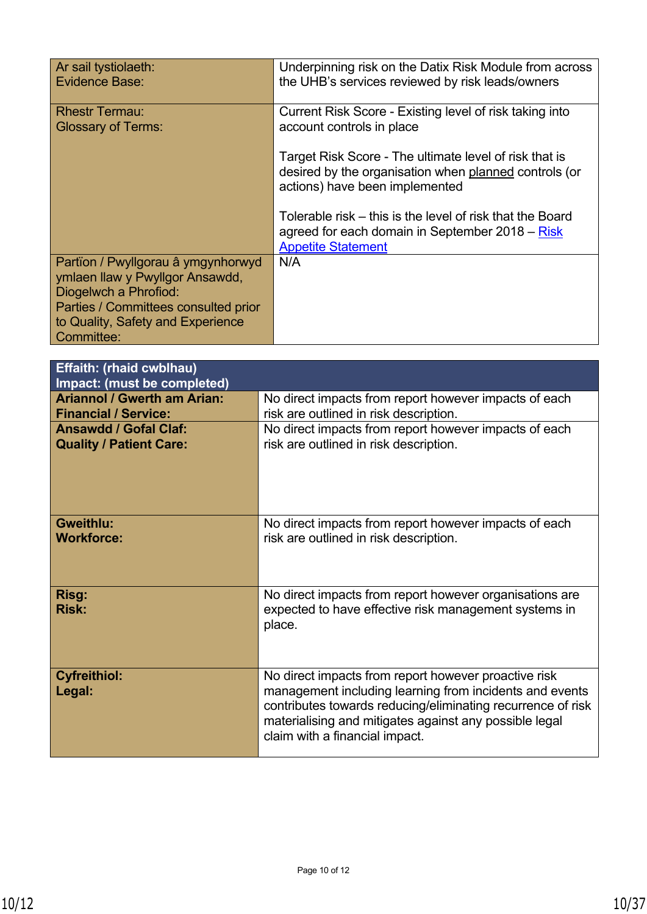| Ar sail tystiolaeth:<br>Evidence Base:                                                         | Underpinning risk on the Datix Risk Module from across<br>the UHB's services reviewed by risk leads/owners                                        |
|------------------------------------------------------------------------------------------------|---------------------------------------------------------------------------------------------------------------------------------------------------|
| <b>Rhestr Termau:</b><br><b>Glossary of Terms:</b>                                             | Current Risk Score - Existing level of risk taking into<br>account controls in place                                                              |
|                                                                                                | Target Risk Score - The ultimate level of risk that is<br>desired by the organisation when planned controls (or<br>actions) have been implemented |
|                                                                                                | Tolerable risk – this is the level of risk that the Board<br>agreed for each domain in September 2018 – Risk<br><b>Appetite Statement</b>         |
| Partïon / Pwyllgorau â ymgynhorwyd<br>ymlaen llaw y Pwyllgor Ansawdd,<br>Diogelwch a Phrofiod: | N/A                                                                                                                                               |
| Parties / Committees consulted prior<br>to Quality, Safety and Experience<br>Committee:        |                                                                                                                                                   |

| <b>Effaith: (rhaid cwblhau)</b><br>Impact: (must be completed) |                                                                                                                                                                                                                                                                            |
|----------------------------------------------------------------|----------------------------------------------------------------------------------------------------------------------------------------------------------------------------------------------------------------------------------------------------------------------------|
| <b>Ariannol / Gwerth am Arian:</b>                             | No direct impacts from report however impacts of each                                                                                                                                                                                                                      |
| <b>Financial / Service:</b>                                    | risk are outlined in risk description.                                                                                                                                                                                                                                     |
| <b>Ansawdd / Gofal Claf:</b>                                   | No direct impacts from report however impacts of each                                                                                                                                                                                                                      |
| <b>Quality / Patient Care:</b>                                 | risk are outlined in risk description.                                                                                                                                                                                                                                     |
| <b>Gweithlu:</b>                                               | No direct impacts from report however impacts of each                                                                                                                                                                                                                      |
| <b>Workforce:</b>                                              | risk are outlined in risk description.                                                                                                                                                                                                                                     |
| Risg:<br><b>Risk:</b>                                          | No direct impacts from report however organisations are<br>expected to have effective risk management systems in<br>place.                                                                                                                                                 |
| <b>Cyfreithiol:</b><br>Legal:                                  | No direct impacts from report however proactive risk<br>management including learning from incidents and events<br>contributes towards reducing/eliminating recurrence of risk<br>materialising and mitigates against any possible legal<br>claim with a financial impact. |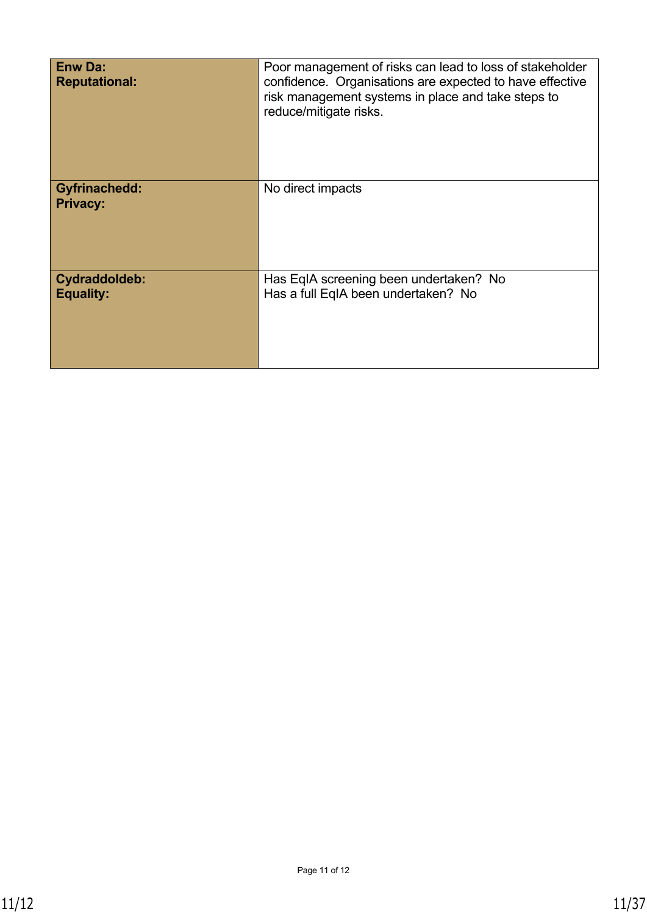| <b>Enw Da:</b><br><b>Reputational:</b>   | Poor management of risks can lead to loss of stakeholder<br>confidence. Organisations are expected to have effective<br>risk management systems in place and take steps to<br>reduce/mitigate risks. |
|------------------------------------------|------------------------------------------------------------------------------------------------------------------------------------------------------------------------------------------------------|
| <b>Gyfrinachedd:</b><br><b>Privacy:</b>  | No direct impacts                                                                                                                                                                                    |
| <b>Cydraddoldeb:</b><br><b>Equality:</b> | Has EqIA screening been undertaken? No<br>Has a full EqIA been undertaken? No                                                                                                                        |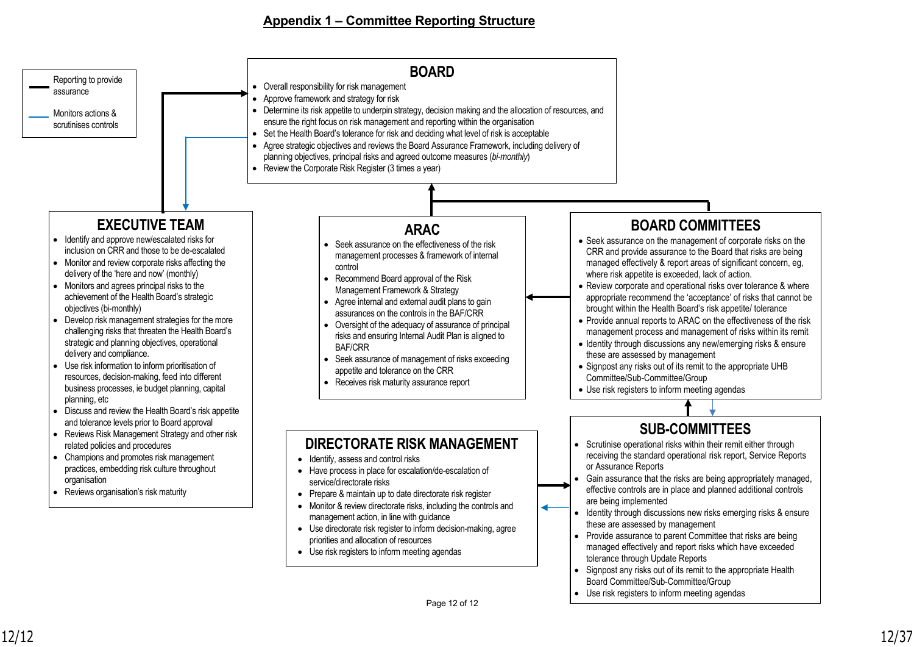#### **Appendix 1 – Committee Reporting Structure**

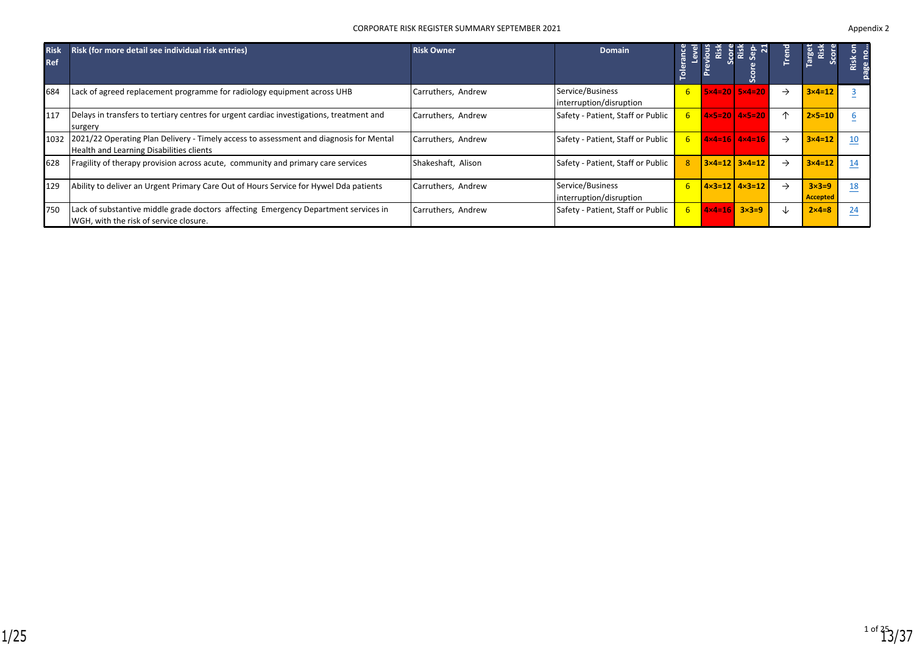#### CORPORATE RISK REGISTER SUMMARY SEPTEMBER 2021 **Appendix 2** Appendix 2

| <b>Risk</b><br><b>Ref</b> | Risk (for more detail see individual risk entries)                                                                                      | <b>Risk Owner</b>  | Domain                                      | <b>Tole</b> |                                    | 풉                                     | 룹             | arget<br>Risk<br><b>COM</b>     | $\overline{5}$<br><b>Risk</b> |
|---------------------------|-----------------------------------------------------------------------------------------------------------------------------------------|--------------------|---------------------------------------------|-------------|------------------------------------|---------------------------------------|---------------|---------------------------------|-------------------------------|
| 684                       | Lack of agreed replacement programme for radiology equipment across UHB                                                                 | Carruthers, Andrew | Service/Business<br>interruption/disruption | 6           |                                    | $5x4=20$ $5x4=20$                     | $\rightarrow$ | $3 \times 4 = 12$               |                               |
| 117                       | Delays in transfers to tertiary centres for urgent cardiac investigations, treatment and<br>surgery                                     | Carruthers, Andrew | Safety - Patient, Staff or Public           | 6           |                                    | $4 \times 5 = 20$ $4 \times 5 = 20$   | 个             | $2 \times 5 = 10$               |                               |
|                           | 1032 2021/22 Operating Plan Delivery - Timely access to assessment and diagnosis for Mental<br>Health and Learning Disabilities clients | Carruthers, Andrew | Safety - Patient, Staff or Public           | 6.          |                                    | $4 \times 4 = 16$   $4 \times 4 = 16$ | →             | $3 \times 4 = 12$               | 10                            |
| 628                       | Fragility of therapy provision across acute, community and primary care services                                                        | Shakeshaft, Alison | Safety - Patient, Staff or Public           |             |                                    | $3 \times 4 = 12$ $3 \times 4 = 12$   | $\rightarrow$ | $3\times 4=12$                  | 14                            |
| 129                       | Ability to deliver an Urgent Primary Care Out of Hours Service for Hywel Dda patients                                                   | Carruthers, Andrew | Service/Business<br>interruption/disruption | <b>6</b>    |                                    | $14 \times 3 = 12$ $4 \times 3 = 12$  | $\rightarrow$ | $3\times3=9$<br><b>Accepted</b> | 18                            |
| 750                       | Lack of substantive middle grade doctors affecting Emergency Department services in<br>WGH, with the risk of service closure.           | Carruthers, Andrew | Safety - Patient, Staff or Public           | 6.          | $4 \times 4 = 16$ $3 \times 3 = 9$ |                                       | ↓             | $2 \times 4 = 8$                | 24                            |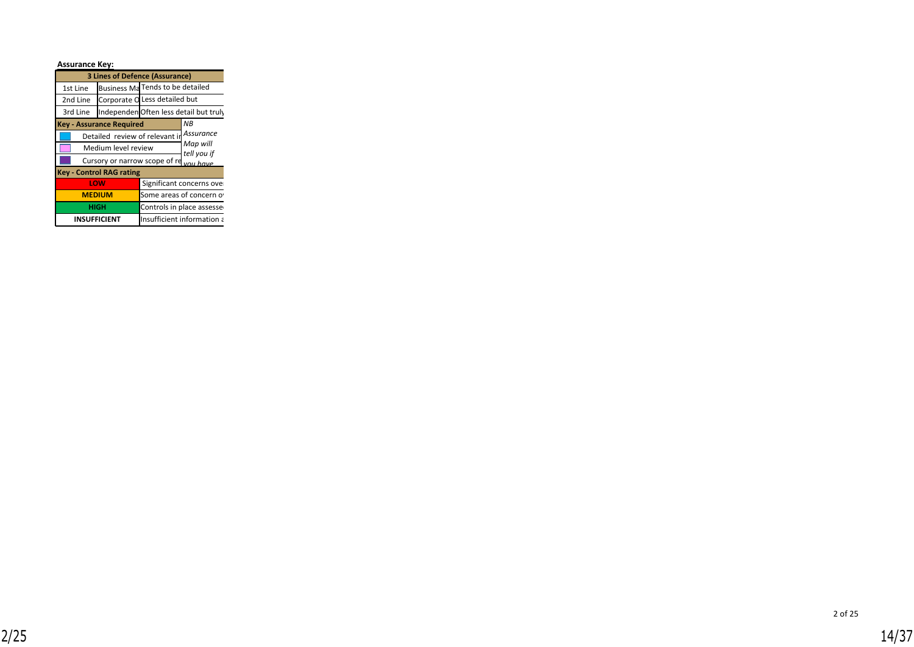| <b>Assurance Key:</b> |                                          |  |                                       |
|-----------------------|------------------------------------------|--|---------------------------------------|
|                       | <b>3 Lines of Defence (Assurance)</b>    |  |                                       |
| 1st Line              | Business Ma Tends to be detailed         |  |                                       |
| 2nd Line              | Corporate O Less detailed but            |  |                                       |
| 3rd Line              |                                          |  | IndependenOften less detail but truly |
|                       | <b>Key - Assurance Required</b>          |  | NB.                                   |
|                       | Detailed review of relevant in Assurance |  |                                       |
|                       | Medium level review                      |  | Map will<br>tell you if               |
|                       | Cursory or narrow scope of re you have   |  |                                       |
|                       | <b>Key - Control RAG rating</b>          |  |                                       |
|                       | LOW                                      |  | Significant concerns over             |
|                       | <b>MEDIUM</b>                            |  | Some areas of concern o               |
|                       | <b>HIGH</b>                              |  | Controls in place assesse             |
|                       | <b>INSUFFICIENT</b>                      |  | Insufficient information a            |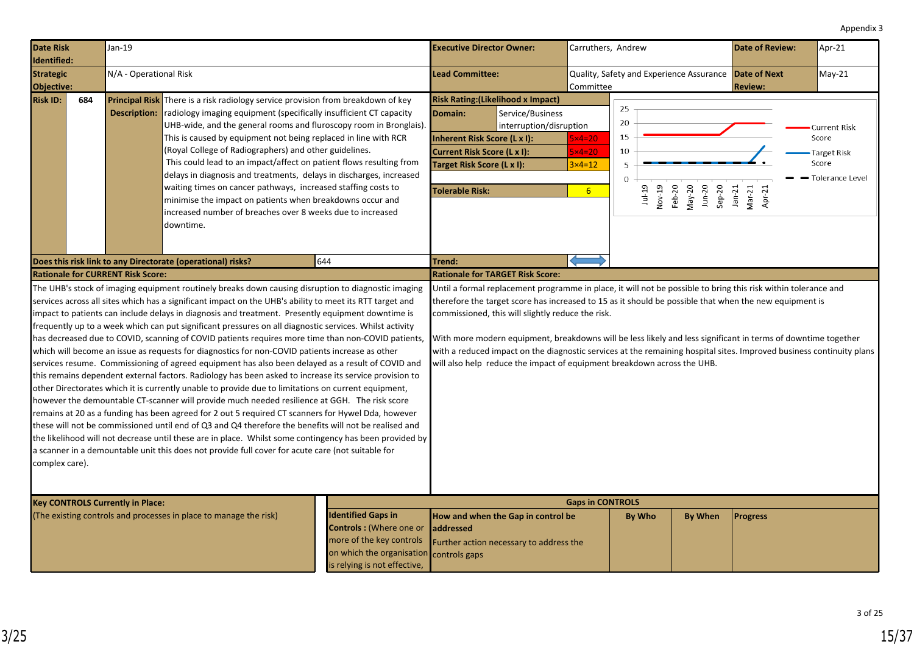<span id="page-14-0"></span>

| <b>Date Risk</b><br>Identified:                                    | $Jan-19$ |                                          |                                                                                                                                                                                                                                                                                                                                                                                                                                                                                                                                                                                                                                                                                                                                                                                                                                                                                                                                                                                                                                                                                                                                                                                                                                                                                                                                                                                                                                                                                                | <b>Executive Director Owner:</b> |                                                                                                                                                                                    | Carruthers, Andrew                                                                                                                                                                                                                                                                                                                                                                                                                                                                                                                                                                                                                           |                                                      |                                                       |                  | <b>Date of Review:</b>            | Apr-21                       |                                                                         |
|--------------------------------------------------------------------|----------|------------------------------------------|------------------------------------------------------------------------------------------------------------------------------------------------------------------------------------------------------------------------------------------------------------------------------------------------------------------------------------------------------------------------------------------------------------------------------------------------------------------------------------------------------------------------------------------------------------------------------------------------------------------------------------------------------------------------------------------------------------------------------------------------------------------------------------------------------------------------------------------------------------------------------------------------------------------------------------------------------------------------------------------------------------------------------------------------------------------------------------------------------------------------------------------------------------------------------------------------------------------------------------------------------------------------------------------------------------------------------------------------------------------------------------------------------------------------------------------------------------------------------------------------|----------------------------------|------------------------------------------------------------------------------------------------------------------------------------------------------------------------------------|----------------------------------------------------------------------------------------------------------------------------------------------------------------------------------------------------------------------------------------------------------------------------------------------------------------------------------------------------------------------------------------------------------------------------------------------------------------------------------------------------------------------------------------------------------------------------------------------------------------------------------------------|------------------------------------------------------|-------------------------------------------------------|------------------|-----------------------------------|------------------------------|-------------------------------------------------------------------------|
| <b>Strategic</b><br>Objective:                                     |          | N/A - Operational Risk                   |                                                                                                                                                                                                                                                                                                                                                                                                                                                                                                                                                                                                                                                                                                                                                                                                                                                                                                                                                                                                                                                                                                                                                                                                                                                                                                                                                                                                                                                                                                |                                  | <b>Lead Committee:</b>                                                                                                                                                             |                                                                                                                                                                                                                                                                                                                                                                                                                                                                                                                                                                                                                                              | Committee                                            | Quality, Safety and Experience Assurance Date of Next |                  |                                   | <b>Review:</b>               | May-21                                                                  |
| <b>Risk ID:</b>                                                    | 684      | <b>Description:</b>                      | <b>Principal Risk</b> There is a risk radiology service provision from breakdown of key<br>radiology imaging equipment (specifically insufficient CT capacity<br>UHB-wide, and the general rooms and fluroscopy room in Bronglais).<br>This is caused by equipment not being replaced in line with RCR<br>(Royal College of Radiographers) and other guidelines.<br>This could lead to an impact/affect on patient flows resulting from<br>delays in diagnosis and treatments, delays in discharges, increased<br>waiting times on cancer pathways, increased staffing costs to<br>minimise the impact on patients when breakdowns occur and<br>increased number of breaches over 8 weeks due to increased<br>downtime.                                                                                                                                                                                                                                                                                                                                                                                                                                                                                                                                                                                                                                                                                                                                                                        |                                  | <b>Risk Rating: (Likelihood x Impact)</b><br>Domain:<br>Inherent Risk Score (L x I):<br><b>Current Risk Score (L x I):</b><br>Target Risk Score (L x I):<br><b>Tolerable Risk:</b> | Service/Business<br>interruption/disruption                                                                                                                                                                                                                                                                                                                                                                                                                                                                                                                                                                                                  | $5x4=20$<br>$5x4=20$<br>$3x4=12$<br>$6 \overline{6}$ | 25<br>20<br>15<br>10<br>5<br>$1u-19$                  | Nov-19<br>Feb-20 | $J$ un-20<br>$Sep-20$<br>$May-20$ | $Jan-21$<br>Mar-21<br>Apr-21 | <b>Current Risk</b><br>Score<br>Target Risk<br>Score<br>Tolerance Level |
| 644<br>Does this risk link to any Directorate (operational) risks? |          |                                          |                                                                                                                                                                                                                                                                                                                                                                                                                                                                                                                                                                                                                                                                                                                                                                                                                                                                                                                                                                                                                                                                                                                                                                                                                                                                                                                                                                                                                                                                                                |                                  | Trend:                                                                                                                                                                             |                                                                                                                                                                                                                                                                                                                                                                                                                                                                                                                                                                                                                                              |                                                      |                                                       |                  |                                   |                              |                                                                         |
| complex care).                                                     |          | <b>Rationale for CURRENT Risk Score:</b> | The UHB's stock of imaging equipment routinely breaks down causing disruption to diagnostic imaging<br>services across all sites which has a significant impact on the UHB's ability to meet its RTT target and<br>impact to patients can include delays in diagnosis and treatment. Presently equipment downtime is<br>frequently up to a week which can put significant pressures on all diagnostic services. Whilst activity<br>has decreased due to COVID, scanning of COVID patients requires more time than non-COVID patients,<br>which will become an issue as requests for diagnostics for non-COVID patients increase as other<br>services resume. Commissioning of agreed equipment has also been delayed as a result of COVID and<br>this remains dependent external factors. Radiology has been asked to increase its service provision to<br>other Directorates which it is currently unable to provide due to limitations on current equipment,<br>however the demountable CT-scanner will provide much needed resilience at GGH. The risk score<br>remains at 20 as a funding has been agreed for 2 out 5 required CT scanners for Hywel Dda, however<br>these will not be commissioned until end of Q3 and Q4 therefore the benefits will not be realised and<br>the likelihood will not decrease until these are in place. Whilst some contingency has been provided by<br>a scanner in a demountable unit this does not provide full cover for acute care (not suitable for |                                  |                                                                                                                                                                                    | <b>Rationale for TARGET Risk Score:</b><br>Until a formal replacement programme in place, it will not be possible to bring this risk within tolerance and<br>therefore the target score has increased to 15 as it should be possible that when the new equipment is<br>commissioned, this will slightly reduce the risk.<br>With more modern equipment, breakdowns will be less likely and less significant in terms of downtime together<br>with a reduced impact on the diagnostic services at the remaining hospital sites. Improved business continuity plans<br>will also help reduce the impact of equipment breakdown across the UHB. |                                                      |                                                       |                  |                                   |                              |                                                                         |
| <b>Key CONTROLS Currently in Place:</b>                            |          |                                          |                                                                                                                                                                                                                                                                                                                                                                                                                                                                                                                                                                                                                                                                                                                                                                                                                                                                                                                                                                                                                                                                                                                                                                                                                                                                                                                                                                                                                                                                                                |                                  |                                                                                                                                                                                    |                                                                                                                                                                                                                                                                                                                                                                                                                                                                                                                                                                                                                                              | <b>Gaps in CONTROLS</b>                              |                                                       |                  |                                   |                              |                                                                         |
| (The existing controls and processes in place to manage the risk)  |          |                                          | <b>Identified Gaps in</b><br><b>Controls:</b> (Where one or<br>more of the key controls<br>on which the organisation<br>is relying is not effective,                                                                                                                                                                                                                                                                                                                                                                                                                                                                                                                                                                                                                                                                                                                                                                                                                                                                                                                                                                                                                                                                                                                                                                                                                                                                                                                                           | addressed<br>controls gaps       | How and when the Gap in control be<br>Further action necessary to address the                                                                                                      |                                                                                                                                                                                                                                                                                                                                                                                                                                                                                                                                                                                                                                              | By Who                                               |                                                       | By When          | <b>Progress</b>                   |                              |                                                                         |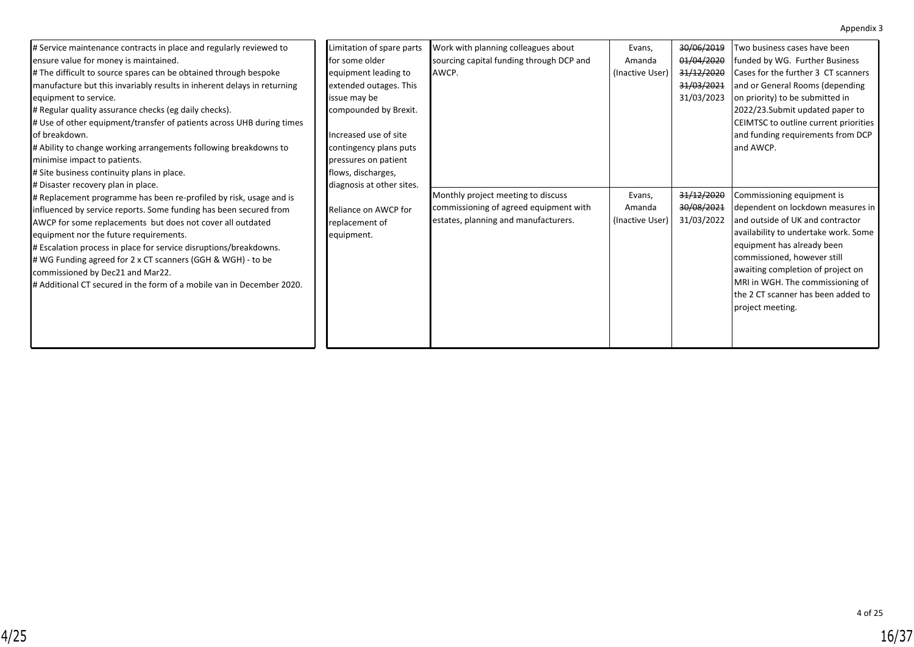| # Service maintenance contracts in place and regularly reviewed to<br>ensure value for money is maintained.<br># The difficult to source spares can be obtained through bespoke<br>manufacture but this invariably results in inherent delays in returning<br>equipment to service.<br># Regular quality assurance checks (eg daily checks).<br># Use of other equipment/transfer of patients across UHB during times<br>of breakdown.<br># Ability to change working arrangements following breakdowns to<br>minimise impact to patients.<br># Site business continuity plans in place.<br># Disaster recovery plan in place.<br># Replacement programme has been re-profiled by risk, usage and is<br>influenced by service reports. Some funding has been secured from<br>AWCP for some replacements but does not cover all outdated<br>equipment nor the future requirements.<br># Escalation process in place for service disruptions/breakdowns.<br># WG Funding agreed for 2 x CT scanners (GGH & WGH) - to be<br>commissioned by Dec21 and Mar22.<br># Additional CT secured in the form of a mobile van in December 2020. | Limitation of spare parts<br><b>for some older</b><br>equipment leading to<br>extended outages. This<br>issue may be<br>compounded by Brexit.<br>Increased use of site<br>contingency plans puts<br>pressures on patient<br>flows, discharges,<br>diagnosis at other sites.<br>Reliance on AWCP for<br>replacement of<br>equipment. | Work with planning colleagues about<br>sourcing capital funding through DCP and<br><b>AWCP.</b><br>Monthly project meeting to discuss<br>commissioning of agreed equipment with<br>estates, planning and manufacturers. | Evans,<br>Amanda<br>(Inactive User)<br>Evans,<br>Amanda<br>(Inactive User) | 30/06/2019<br>01/04/2020<br>31/12/2020<br>31/03/2021<br>31/03/2023<br>31/12/2020<br>30/08/2021<br>31/03/2022 | Two business cases have been<br>funded by WG. Further Business<br>Cases for the further 3 CT scanners<br>and or General Rooms (depending<br>on priority) to be submitted in<br>2022/23. Submit updated paper to<br>CEIMTSC to outline current priorities<br>and funding requirements from DCP<br>land AWCP.<br>Commissioning equipment is<br>dependent on lockdown measures in<br>and outside of UK and contractor<br>availability to undertake work. Some<br>equipment has already been<br>commissioned, however still<br>awaiting completion of project on<br>MRI in WGH. The commissioning of<br>the 2 CT scanner has been added to<br>project meeting. |
|------------------------------------------------------------------------------------------------------------------------------------------------------------------------------------------------------------------------------------------------------------------------------------------------------------------------------------------------------------------------------------------------------------------------------------------------------------------------------------------------------------------------------------------------------------------------------------------------------------------------------------------------------------------------------------------------------------------------------------------------------------------------------------------------------------------------------------------------------------------------------------------------------------------------------------------------------------------------------------------------------------------------------------------------------------------------------------------------------------------------------------|-------------------------------------------------------------------------------------------------------------------------------------------------------------------------------------------------------------------------------------------------------------------------------------------------------------------------------------|-------------------------------------------------------------------------------------------------------------------------------------------------------------------------------------------------------------------------|----------------------------------------------------------------------------|--------------------------------------------------------------------------------------------------------------|------------------------------------------------------------------------------------------------------------------------------------------------------------------------------------------------------------------------------------------------------------------------------------------------------------------------------------------------------------------------------------------------------------------------------------------------------------------------------------------------------------------------------------------------------------------------------------------------------------------------------------------------------------|
|                                                                                                                                                                                                                                                                                                                                                                                                                                                                                                                                                                                                                                                                                                                                                                                                                                                                                                                                                                                                                                                                                                                                    |                                                                                                                                                                                                                                                                                                                                     |                                                                                                                                                                                                                         |                                                                            |                                                                                                              |                                                                                                                                                                                                                                                                                                                                                                                                                                                                                                                                                                                                                                                            |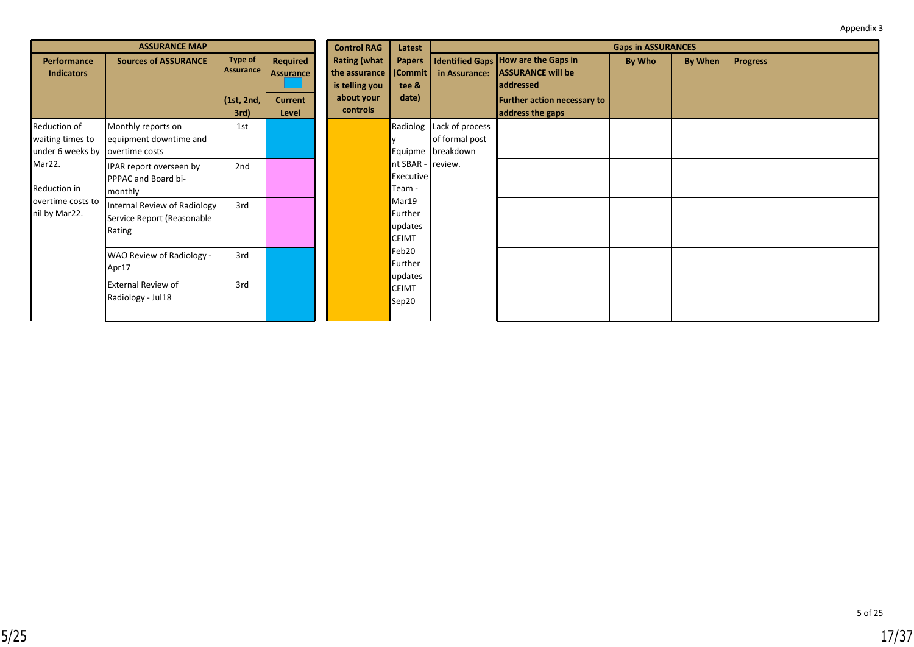|                                                                     | <b>ASSURANCE MAP</b>                                                 |                                                          |                                                                | <b>Control RAG</b>                                              | Latest                                                    |                                                                 |                                                                                                                                                | <b>Gaps in ASSURANCES</b> |         |                 |
|---------------------------------------------------------------------|----------------------------------------------------------------------|----------------------------------------------------------|----------------------------------------------------------------|-----------------------------------------------------------------|-----------------------------------------------------------|-----------------------------------------------------------------|------------------------------------------------------------------------------------------------------------------------------------------------|---------------------------|---------|-----------------|
| <b>Performance</b><br><b>Indicators</b>                             | <b>Sources of ASSURANCE</b>                                          | <b>Type of</b><br><b>Assurance</b><br>(1st, 2nd,<br>3rd) | <b>Required</b><br><b>Assurance</b><br><b>Current</b><br>Level | <b>Rating (what</b><br>is telling you<br>about your<br>controls | <b>Papers</b><br>the assurance (Commit)<br>tee &<br>date) | in Assurance:                                                   | <b>Identified Gaps How are the Gaps in</b><br><b>ASSURANCE will be</b><br><b>laddressed</b><br>Further action necessary to<br>address the gaps | By Who                    | By When | <b>Progress</b> |
| Reduction of<br>waiting times to<br>under 6 weeks by overtime costs | Monthly reports on<br>equipment downtime and                         | 1st                                                      |                                                                |                                                                 |                                                           | Radiolog Lack of process<br>of formal post<br>Equipme breakdown |                                                                                                                                                |                           |         |                 |
| Mar22.<br>Reduction in<br>overtime costs to<br>nil by Mar22.        | 2nd<br>IPAR report overseen by<br>PPPAC and Board bi-<br>monthly     |                                                          | nt SBAR - review.<br><b>Executive</b><br>Team -                |                                                                 |                                                           |                                                                 |                                                                                                                                                |                           |         |                 |
|                                                                     | Internal Review of Radiology<br>Service Report (Reasonable<br>Rating | 3rd                                                      |                                                                |                                                                 | Mar19<br>Further<br>updates<br><b>CEIMT</b>               |                                                                 |                                                                                                                                                |                           |         |                 |
|                                                                     | WAO Review of Radiology -<br>Apr17                                   | 3rd                                                      |                                                                |                                                                 | Feb20<br>Further<br>updates                               |                                                                 |                                                                                                                                                |                           |         |                 |
|                                                                     | <b>External Review of</b><br>Radiology - Jul18                       | 3rd                                                      |                                                                |                                                                 | <b>CEIMT</b><br>Sep20                                     |                                                                 |                                                                                                                                                |                           |         |                 |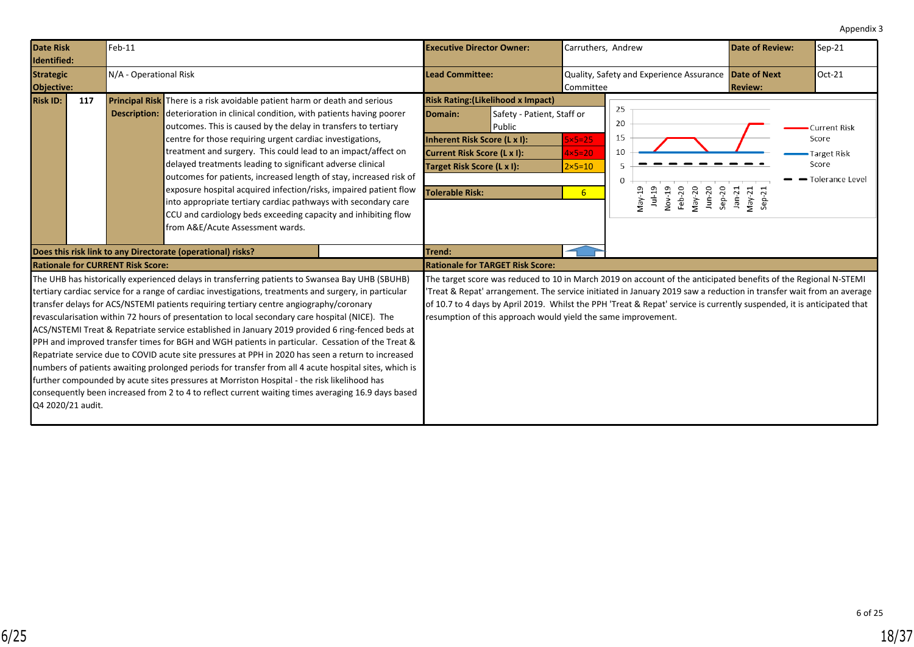<span id="page-17-0"></span>

| <b>Date Risk</b><br>Identified:                               | $Feb-11$               |                                                                                                                                                                                                                                                                                                                                                                                                                                                                                                                                                                                                                                                                                                                                                                                                                                                                                                                                                                                                                                  | <b>Executive Director Owner:</b>                                                                                                                                                                                    | Carruthers, Andrew                                                                                                                                                                                                                                                                                                                                              | <b>Date of Review:</b>           | Sep-21                                                             |
|---------------------------------------------------------------|------------------------|----------------------------------------------------------------------------------------------------------------------------------------------------------------------------------------------------------------------------------------------------------------------------------------------------------------------------------------------------------------------------------------------------------------------------------------------------------------------------------------------------------------------------------------------------------------------------------------------------------------------------------------------------------------------------------------------------------------------------------------------------------------------------------------------------------------------------------------------------------------------------------------------------------------------------------------------------------------------------------------------------------------------------------|---------------------------------------------------------------------------------------------------------------------------------------------------------------------------------------------------------------------|-----------------------------------------------------------------------------------------------------------------------------------------------------------------------------------------------------------------------------------------------------------------------------------------------------------------------------------------------------------------|----------------------------------|--------------------------------------------------------------------|
| <b>Strategic</b><br>Objective:                                | N/A - Operational Risk |                                                                                                                                                                                                                                                                                                                                                                                                                                                                                                                                                                                                                                                                                                                                                                                                                                                                                                                                                                                                                                  | <b>Lead Committee:</b>                                                                                                                                                                                              | Quality, Safety and Experience Assurance Date of Next<br>Committee                                                                                                                                                                                                                                                                                              | <b>Review:</b>                   | Oct-21                                                             |
| <b>Risk ID:</b><br>117                                        |                        | Principal Risk There is a risk avoidable patient harm or death and serious<br><b>Description:</b> deterioration in clinical condition, with patients having poorer<br>outcomes. This is caused by the delay in transfers to tertiary<br>centre for those requiring urgent cardiac investigations,<br>treatment and surgery. This could lead to an impact/affect on<br>delayed treatments leading to significant adverse clinical<br>outcomes for patients, increased length of stay, increased risk of<br>exposure hospital acquired infection/risks, impaired patient flow<br>into appropriate tertiary cardiac pathways with secondary care<br>CCU and cardiology beds exceeding capacity and inhibiting flow<br>from A&E/Acute Assessment wards.                                                                                                                                                                                                                                                                              | <b>Risk Rating: (Likelihood x Impact)</b><br>Safety - Patient, Staff or<br>Domain:<br>Public<br>Inherent Risk Score (L x I):<br>Current Risk Score (L x I):<br>Target Risk Score (L x I):<br><b>Tolerable Risk:</b> | 25<br>20<br>15<br>$5\times 5=25$<br>10<br>$4\times5=20$<br>$2\times 5=10$<br>$\Omega$<br>Nov-19<br>$Sep-20$<br>May-19<br>$1u-19$<br>Feb-20<br>$May-20$<br>$J$ un- $20$<br>6 <sup>1</sup>                                                                                                                                                                        | $Jan-21$<br>$May-21$<br>$Sep-21$ | Current Risk<br>Score<br>Target Risk<br>Score<br>- Tolerance Level |
|                                                               |                        | Does this risk link to any Directorate (operational) risks?                                                                                                                                                                                                                                                                                                                                                                                                                                                                                                                                                                                                                                                                                                                                                                                                                                                                                                                                                                      | Trend:                                                                                                                                                                                                              |                                                                                                                                                                                                                                                                                                                                                                 |                                  |                                                                    |
| <b>Rationale for CURRENT Risk Score:</b><br>Q4 2020/21 audit. |                        | The UHB has historically experienced delays in transferring patients to Swansea Bay UHB (SBUHB)<br>tertiary cardiac service for a range of cardiac investigations, treatments and surgery, in particular<br>transfer delays for ACS/NSTEMI patients requiring tertiary centre angiography/coronary<br>revascularisation within 72 hours of presentation to local secondary care hospital (NICE). The<br>ACS/NSTEMI Treat & Repatriate service established in January 2019 provided 6 ring-fenced beds at<br>PPH and improved transfer times for BGH and WGH patients in particular. Cessation of the Treat &<br>Repatriate service due to COVID acute site pressures at PPH in 2020 has seen a return to increased<br>numbers of patients awaiting prolonged periods for transfer from all 4 acute hospital sites, which is<br>further compounded by acute sites pressures at Morriston Hospital - the risk likelihood has<br>consequently been increased from 2 to 4 to reflect current waiting times averaging 16.9 days based | <b>Rationale for TARGET Risk Score:</b><br>resumption of this approach would yield the same improvement.                                                                                                            | The target score was reduced to 10 in March 2019 on account of the anticipated benefits of the Regional N-STEMI<br>Treat & Repat' arrangement. The service initiated in January 2019 saw a reduction in transfer wait from an average<br>of 10.7 to 4 days by April 2019. Whilst the PPH 'Treat & Repat' service is currently suspended, it is anticipated that |                                  |                                                                    |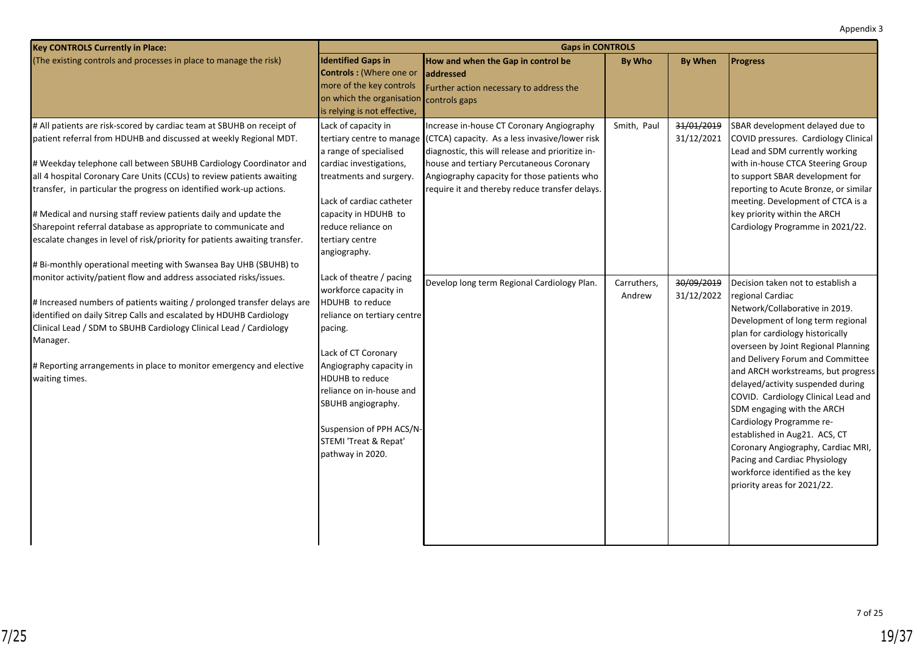| <b>Key CONTROLS Currently in Place:</b>                                                                                                                                                                                                                                                                                                                                                                                                                                                                                                                                                                                                                                                                                                                                                                                                                                                                                                                                                                                                                   |                                                                                                                                                                                                                                                                                                                                                                                                                                                                                                                                           | <b>Gaps in CONTROLS</b>                                                                                                                                                                                                                                                                                                                                               |                                      |                                                      |                                                                                                                                                                                                                                                                                                                                                                                                                                                                                                                                                                                                                                                                                                                                                                                                                                                                                                                                          |  |  |  |
|-----------------------------------------------------------------------------------------------------------------------------------------------------------------------------------------------------------------------------------------------------------------------------------------------------------------------------------------------------------------------------------------------------------------------------------------------------------------------------------------------------------------------------------------------------------------------------------------------------------------------------------------------------------------------------------------------------------------------------------------------------------------------------------------------------------------------------------------------------------------------------------------------------------------------------------------------------------------------------------------------------------------------------------------------------------|-------------------------------------------------------------------------------------------------------------------------------------------------------------------------------------------------------------------------------------------------------------------------------------------------------------------------------------------------------------------------------------------------------------------------------------------------------------------------------------------------------------------------------------------|-----------------------------------------------------------------------------------------------------------------------------------------------------------------------------------------------------------------------------------------------------------------------------------------------------------------------------------------------------------------------|--------------------------------------|------------------------------------------------------|------------------------------------------------------------------------------------------------------------------------------------------------------------------------------------------------------------------------------------------------------------------------------------------------------------------------------------------------------------------------------------------------------------------------------------------------------------------------------------------------------------------------------------------------------------------------------------------------------------------------------------------------------------------------------------------------------------------------------------------------------------------------------------------------------------------------------------------------------------------------------------------------------------------------------------------|--|--|--|
| (The existing controls and processes in place to manage the risk)                                                                                                                                                                                                                                                                                                                                                                                                                                                                                                                                                                                                                                                                                                                                                                                                                                                                                                                                                                                         | <b>Identified Gaps in</b><br><b>Controls:</b> (Where one or<br>more of the key controls<br>on which the organisation<br>is relying is not effective,                                                                                                                                                                                                                                                                                                                                                                                      | How and when the Gap in control be<br>addressed<br>Further action necessary to address the<br>controls gaps                                                                                                                                                                                                                                                           | <b>By Who</b>                        | <b>By When</b>                                       | <b>Progress</b>                                                                                                                                                                                                                                                                                                                                                                                                                                                                                                                                                                                                                                                                                                                                                                                                                                                                                                                          |  |  |  |
| # All patients are risk-scored by cardiac team at SBUHB on receipt of<br>patient referral from HDUHB and discussed at weekly Regional MDT.<br># Weekday telephone call between SBUHB Cardiology Coordinator and<br>all 4 hospital Coronary Care Units (CCUs) to review patients awaiting<br>transfer, in particular the progress on identified work-up actions.<br># Medical and nursing staff review patients daily and update the<br>Sharepoint referral database as appropriate to communicate and<br>escalate changes in level of risk/priority for patients awaiting transfer.<br># Bi-monthly operational meeting with Swansea Bay UHB (SBUHB) to<br>monitor activity/patient flow and address associated risks/issues.<br># Increased numbers of patients waiting / prolonged transfer delays are<br>identified on daily Sitrep Calls and escalated by HDUHB Cardiology<br>Clinical Lead / SDM to SBUHB Cardiology Clinical Lead / Cardiology<br>Manager.<br># Reporting arrangements in place to monitor emergency and elective<br>waiting times. | Lack of capacity in<br>a range of specialised<br>cardiac investigations,<br>treatments and surgery.<br>Lack of cardiac catheter<br>capacity in HDUHB to<br>reduce reliance on<br>tertiary centre<br>angiography.<br>Lack of theatre / pacing<br>workforce capacity in<br>HDUHB to reduce<br>reliance on tertiary centre<br>pacing.<br>Lack of CT Coronary<br>Angiography capacity in<br><b>HDUHB</b> to reduce<br>reliance on in-house and<br>SBUHB angiography.<br>Suspension of PPH ACS/N-<br>STEMI 'Treat & Repat'<br>pathway in 2020. | Increase in-house CT Coronary Angiography<br>tertiary centre to manage (CTCA) capacity. As a less invasive/lower risk<br>diagnostic, this will release and prioritize in-<br>house and tertiary Percutaneous Coronary<br>Angiography capacity for those patients who<br>require it and thereby reduce transfer delays.<br>Develop long term Regional Cardiology Plan. | Smith, Paul<br>Carruthers,<br>Andrew | 31/01/2019<br>31/12/2021<br>30/09/2019<br>31/12/2022 | SBAR development delayed due to<br>COVID pressures. Cardiology Clinical<br>Lead and SDM currently working<br>with in-house CTCA Steering Group<br>to support SBAR development for<br>reporting to Acute Bronze, or similar<br>meeting. Development of CTCA is a<br>key priority within the ARCH<br>Cardiology Programme in 2021/22.<br>Decision taken not to establish a<br>regional Cardiac<br>Network/Collaborative in 2019.<br>Development of long term regional<br>plan for cardiology historically<br>overseen by Joint Regional Planning<br>and Delivery Forum and Committee<br>and ARCH workstreams, but progress<br>delayed/activity suspended during<br>COVID. Cardiology Clinical Lead and<br>SDM engaging with the ARCH<br>Cardiology Programme re-<br>established in Aug21. ACS, CT<br>Coronary Angiography, Cardiac MRI,<br>Pacing and Cardiac Physiology<br>workforce identified as the key<br>priority areas for 2021/22. |  |  |  |
|                                                                                                                                                                                                                                                                                                                                                                                                                                                                                                                                                                                                                                                                                                                                                                                                                                                                                                                                                                                                                                                           |                                                                                                                                                                                                                                                                                                                                                                                                                                                                                                                                           |                                                                                                                                                                                                                                                                                                                                                                       |                                      |                                                      |                                                                                                                                                                                                                                                                                                                                                                                                                                                                                                                                                                                                                                                                                                                                                                                                                                                                                                                                          |  |  |  |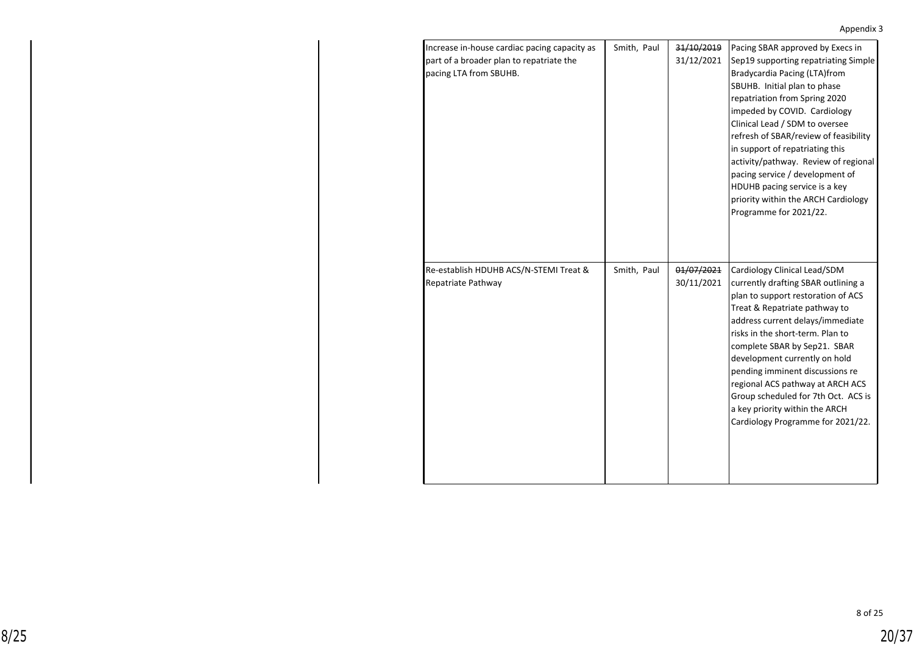| Increase in-house cardiac pacing capacity as<br>part of a broader plan to repatriate the<br>pacing LTA from SBUHB. | Smith, Paul | 31/10/2019<br>31/12/2021 | Pacing SBAR approved by Execs in<br>Sep19 supporting repatriating Simple<br>Bradycardia Pacing (LTA)from<br>SBUHB. Initial plan to phase<br>repatriation from Spring 2020<br>impeded by COVID. Cardiology<br>Clinical Lead / SDM to oversee<br>refresh of SBAR/review of feasibility<br>in support of repatriating this<br>activity/pathway. Review of regional<br>pacing service / development of<br>HDUHB pacing service is a key<br>priority within the ARCH Cardiology<br>Programme for 2021/22. |
|--------------------------------------------------------------------------------------------------------------------|-------------|--------------------------|------------------------------------------------------------------------------------------------------------------------------------------------------------------------------------------------------------------------------------------------------------------------------------------------------------------------------------------------------------------------------------------------------------------------------------------------------------------------------------------------------|
| Re-establish HDUHB ACS/N-STEMI Treat &<br>Repatriate Pathway                                                       | Smith, Paul | 01/07/2021<br>30/11/2021 | Cardiology Clinical Lead/SDM<br>currently drafting SBAR outlining a<br>plan to support restoration of ACS<br>Treat & Repatriate pathway to<br>address current delays/immediate<br>risks in the short-term. Plan to<br>complete SBAR by Sep21. SBAR<br>development currently on hold<br>pending imminent discussions re<br>regional ACS pathway at ARCH ACS<br>Group scheduled for 7th Oct. ACS is<br>a key priority within the ARCH<br>Cardiology Programme for 2021/22.                             |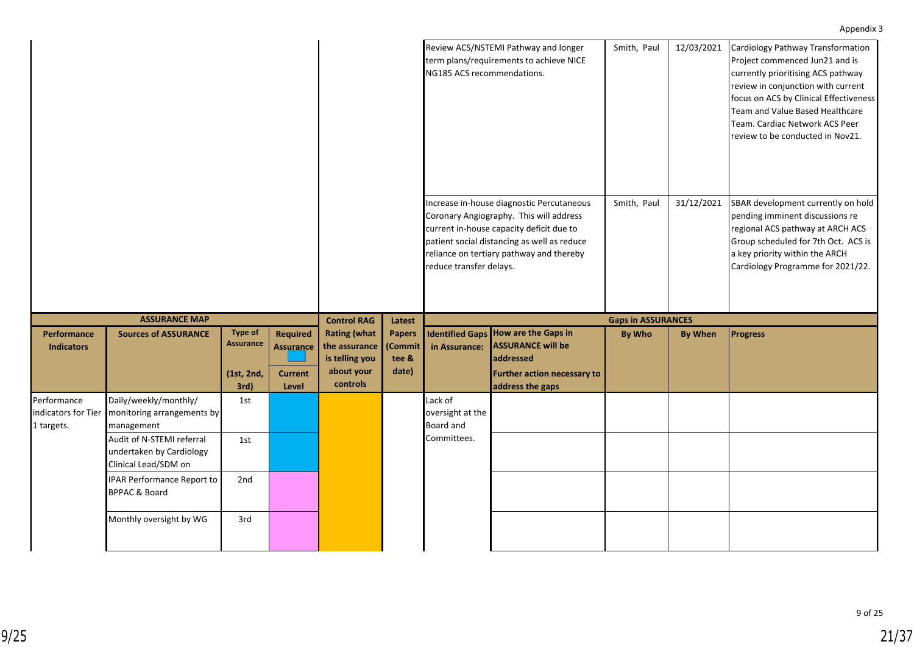|                                                  |                                                                               |                                                          |                                                                |                                                                                  |                                            | NG185 ACS recommendations.                                                                                                                                                                                                                             | Review ACS/NSTEMI Pathway and longer<br>term plans/requirements to achieve NICE                                                          | Smith, Paul               | 12/03/2021     | Cardiology Pathway Transformation<br>Project commenced Jun21 and is<br>currently prioritising ACS pathway<br>review in conjunction with current<br>focus on ACS by Clinical Effectiveness<br>Team and Value Based Healthcare<br>Team. Cardiac Network ACS Peer<br>review to be conducted in Nov21. |
|--------------------------------------------------|-------------------------------------------------------------------------------|----------------------------------------------------------|----------------------------------------------------------------|----------------------------------------------------------------------------------|--------------------------------------------|--------------------------------------------------------------------------------------------------------------------------------------------------------------------------------------------------------------------------------------------------------|------------------------------------------------------------------------------------------------------------------------------------------|---------------------------|----------------|----------------------------------------------------------------------------------------------------------------------------------------------------------------------------------------------------------------------------------------------------------------------------------------------------|
|                                                  |                                                                               |                                                          |                                                                |                                                                                  |                                            | Increase in-house diagnostic Percutaneous<br>Coronary Angiography. This will address<br>current in-house capacity deficit due to<br>patient social distancing as well as reduce<br>reliance on tertiary pathway and thereby<br>reduce transfer delays. |                                                                                                                                          | Smith, Paul               | 31/12/2021     | SBAR development currently on hold<br>pending imminent discussions re<br>regional ACS pathway at ARCH ACS<br>Group scheduled for 7th Oct. ACS is<br>a key priority within the ARCH<br>Cardiology Programme for 2021/22.                                                                            |
|                                                  | <b>ASSURANCE MAP</b>                                                          |                                                          |                                                                | <b>Control RAG</b>                                                               | Latest                                     |                                                                                                                                                                                                                                                        |                                                                                                                                          | <b>Gaps in ASSURANCES</b> |                |                                                                                                                                                                                                                                                                                                    |
| Performance<br><b>Indicators</b>                 | <b>Sources of ASSURANCE</b>                                                   | <b>Type of</b><br><b>Assurance</b><br>(1st, 2nd,<br>3rd) | <b>Required</b><br><b>Assurance</b><br><b>Current</b><br>Level | <b>Rating (what</b><br>the assurance<br>is telling you<br>about your<br>controls | <b>Papers</b><br>(Commit<br>tee &<br>date) | in Assurance:                                                                                                                                                                                                                                          | Identified Gaps   How are the Gaps in<br><b>ASSURANCE will be</b><br>addressed<br><b>Further action necessary to</b><br>address the gaps | <b>By Who</b>             | <b>By When</b> | <b>Progress</b>                                                                                                                                                                                                                                                                                    |
| Performance<br>indicators for Tier<br>1 targets. | Daily/weekly/monthly/<br>monitoring arrangements by<br>management             | 1st                                                      |                                                                |                                                                                  |                                            | Lack of<br>oversight at the<br><b>Board and</b>                                                                                                                                                                                                        |                                                                                                                                          |                           |                |                                                                                                                                                                                                                                                                                                    |
|                                                  | Audit of N-STEMI referral<br>undertaken by Cardiology<br>Clinical Lead/SDM on | 1st                                                      |                                                                |                                                                                  |                                            | Committees.                                                                                                                                                                                                                                            |                                                                                                                                          |                           |                |                                                                                                                                                                                                                                                                                                    |
|                                                  | IPAR Performance Report to<br><b>BPPAC &amp; Board</b>                        | 2nd                                                      |                                                                |                                                                                  |                                            |                                                                                                                                                                                                                                                        |                                                                                                                                          |                           |                |                                                                                                                                                                                                                                                                                                    |
|                                                  | Monthly oversight by WG                                                       | 3rd                                                      |                                                                |                                                                                  |                                            |                                                                                                                                                                                                                                                        |                                                                                                                                          |                           |                |                                                                                                                                                                                                                                                                                                    |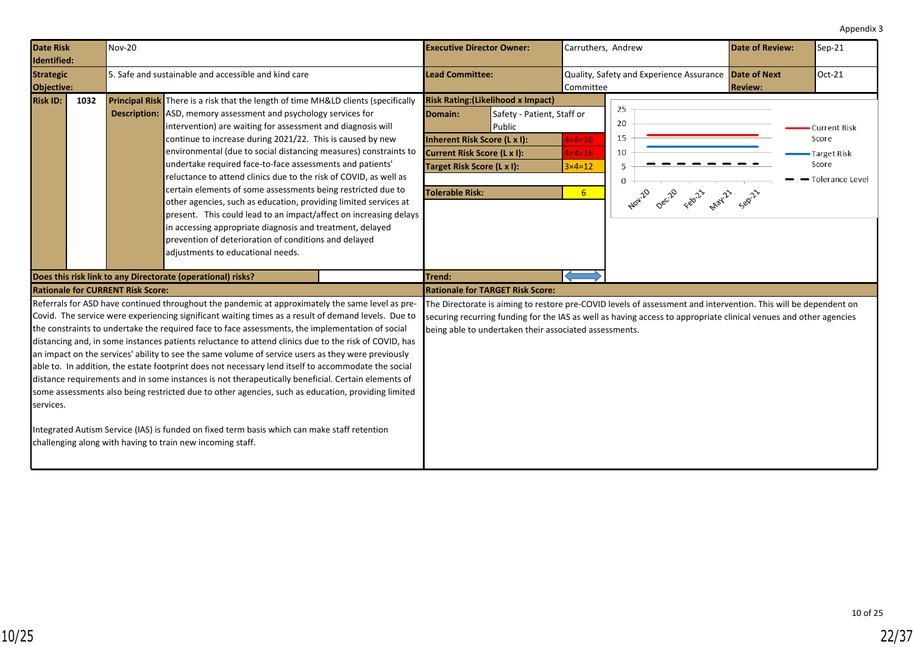<span id="page-21-0"></span>

| <b>Date Risk</b><br>Identified:                                                                                                                                                                                                                                                                                                                                                                                                                                                                                                                                                                                                                                                                                                                                                                                                                                                                                                                                                                                          | <b>Nov-20</b> |                                                                                                                                                                                                                                                                                                                                                                                                                                                                                                                                                                                                                                                                                                                                                                                                                                                                            |  | <b>Executive Director Owner:</b>                                                                                                                                            |                                                        | Carruthers, Andrew                                                           |                                                                                                                                                                                                                                      | <b>Date of Review:</b>                | Sep-21                                                                  |
|--------------------------------------------------------------------------------------------------------------------------------------------------------------------------------------------------------------------------------------------------------------------------------------------------------------------------------------------------------------------------------------------------------------------------------------------------------------------------------------------------------------------------------------------------------------------------------------------------------------------------------------------------------------------------------------------------------------------------------------------------------------------------------------------------------------------------------------------------------------------------------------------------------------------------------------------------------------------------------------------------------------------------|---------------|----------------------------------------------------------------------------------------------------------------------------------------------------------------------------------------------------------------------------------------------------------------------------------------------------------------------------------------------------------------------------------------------------------------------------------------------------------------------------------------------------------------------------------------------------------------------------------------------------------------------------------------------------------------------------------------------------------------------------------------------------------------------------------------------------------------------------------------------------------------------------|--|-----------------------------------------------------------------------------------------------------------------------------------------------------------------------------|--------------------------------------------------------|------------------------------------------------------------------------------|--------------------------------------------------------------------------------------------------------------------------------------------------------------------------------------------------------------------------------------|---------------------------------------|-------------------------------------------------------------------------|
| <b>Strategic</b><br>Objective:                                                                                                                                                                                                                                                                                                                                                                                                                                                                                                                                                                                                                                                                                                                                                                                                                                                                                                                                                                                           |               | 5. Safe and sustainable and accessible and kind care                                                                                                                                                                                                                                                                                                                                                                                                                                                                                                                                                                                                                                                                                                                                                                                                                       |  | <b>Lead Committee:</b>                                                                                                                                                      |                                                        | l Committee                                                                  | Quality, Safety and Experience Assurance                                                                                                                                                                                             | <b>Date of Next</b><br><b>Review:</b> | Oct-21                                                                  |
| <b>Risk ID:</b><br>1032                                                                                                                                                                                                                                                                                                                                                                                                                                                                                                                                                                                                                                                                                                                                                                                                                                                                                                                                                                                                  |               | <b>Principal Risk</b> There is a risk that the length of time MH&LD clients (specifically<br><b>Description:</b> ASD, memory assessment and psychology services for<br>intervention) are waiting for assessment and diagnosis will<br>continue to increase during 2021/22. This is caused by new<br>environmental (due to social distancing measures) constraints to<br>undertake required face-to-face assessments and patients'<br>reluctance to attend clinics due to the risk of COVID, as well as<br>certain elements of some assessments being restricted due to<br>other agencies, such as education, providing limited services at<br>present. This could lead to an impact/affect on increasing delays<br>in accessing appropriate diagnosis and treatment, delayed<br>prevention of deterioration of conditions and delayed<br>adjustments to educational needs. |  | <b>Risk Rating: (Likelihood x Impact)</b><br>Domain:<br>Inherent Risk Score (L x I):<br>Current Risk Score (L x I):<br>Target Risk Score (L x I):<br><b>Tolerable Risk:</b> | Safety - Patient, Staff or<br>Public                   | $4 \times 4 = 16$<br>$4 \times 4 = 16$<br>$3\times 4=12$<br>$6 \overline{6}$ | 25<br>20<br>15<br>10<br>5<br>0<br>Nov-20 Dec-20 Febr22 May-22 Sep-22                                                                                                                                                                 |                                       | <b>Current Risk</b><br>Score<br>Target Risk<br>Score<br>Tolerance Level |
|                                                                                                                                                                                                                                                                                                                                                                                                                                                                                                                                                                                                                                                                                                                                                                                                                                                                                                                                                                                                                          |               | Does this risk link to any Directorate (operational) risks?                                                                                                                                                                                                                                                                                                                                                                                                                                                                                                                                                                                                                                                                                                                                                                                                                |  | Trend:                                                                                                                                                                      |                                                        |                                                                              |                                                                                                                                                                                                                                      |                                       |                                                                         |
| <b>Rationale for CURRENT Risk Score:</b>                                                                                                                                                                                                                                                                                                                                                                                                                                                                                                                                                                                                                                                                                                                                                                                                                                                                                                                                                                                 |               |                                                                                                                                                                                                                                                                                                                                                                                                                                                                                                                                                                                                                                                                                                                                                                                                                                                                            |  | <b>Rationale for TARGET Risk Score:</b>                                                                                                                                     |                                                        |                                                                              |                                                                                                                                                                                                                                      |                                       |                                                                         |
| Referrals for ASD have continued throughout the pandemic at approximately the same level as pre-<br>Covid. The service were experiencing significant waiting times as a result of demand levels. Due to<br>the constraints to undertake the required face to face assessments, the implementation of social<br>distancing and, in some instances patients reluctance to attend clinics due to the risk of COVID, has<br>an impact on the services' ability to see the same volume of service users as they were previously<br>able to. In addition, the estate footprint does not necessary lend itself to accommodate the social<br>distance requirements and in some instances is not therapeutically beneficial. Certain elements of<br>some assessments also being restricted due to other agencies, such as education, providing limited<br>services.<br>Integrated Autism Service (IAS) is funded on fixed term basis which can make staff retention<br>challenging along with having to train new incoming staff. |               |                                                                                                                                                                                                                                                                                                                                                                                                                                                                                                                                                                                                                                                                                                                                                                                                                                                                            |  |                                                                                                                                                                             | being able to undertaken their associated assessments. |                                                                              | The Directorate is aiming to restore pre-COVID levels of assessment and intervention. This will be dependent on<br>securing recurring funding for the IAS as well as having access to appropriate clinical venues and other agencies |                                       |                                                                         |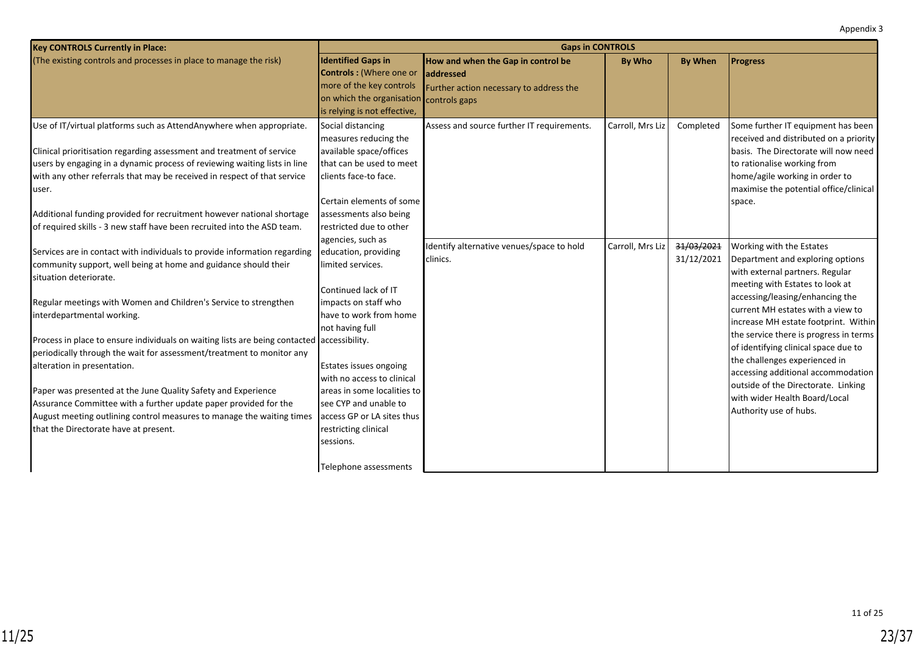| <b>Key CONTROLS Currently in Place:</b>                                                    | <b>Gaps in CONTROLS</b>        |                                            |                  |                |                                        |  |  |  |
|--------------------------------------------------------------------------------------------|--------------------------------|--------------------------------------------|------------------|----------------|----------------------------------------|--|--|--|
| (The existing controls and processes in place to manage the risk)                          | <b>Identified Gaps in</b>      | How and when the Gap in control be         | <b>By Who</b>    | <b>By When</b> | <b>Progress</b>                        |  |  |  |
|                                                                                            | <b>Controls: (Where one or</b> | laddressed                                 |                  |                |                                        |  |  |  |
|                                                                                            | more of the key controls       | Further action necessary to address the    |                  |                |                                        |  |  |  |
|                                                                                            | on which the organisation      | controls gaps                              |                  |                |                                        |  |  |  |
|                                                                                            | is relying is not effective,   |                                            |                  |                |                                        |  |  |  |
| Use of IT/virtual platforms such as AttendAnywhere when appropriate.                       | Social distancing              | Assess and source further IT requirements. | Carroll, Mrs Liz | Completed      | Some further IT equipment has been     |  |  |  |
|                                                                                            | measures reducing the          |                                            |                  |                | received and distributed on a priority |  |  |  |
| Clinical prioritisation regarding assessment and treatment of service                      | available space/offices        |                                            |                  |                | basis. The Directorate will now need   |  |  |  |
| users by engaging in a dynamic process of reviewing waiting lists in line                  | that can be used to meet       |                                            |                  |                | to rationalise working from            |  |  |  |
| with any other referrals that may be received in respect of that service                   | clients face-to face.          |                                            |                  |                | home/agile working in order to         |  |  |  |
| user.                                                                                      |                                |                                            |                  |                | maximise the potential office/clinical |  |  |  |
|                                                                                            | Certain elements of some       |                                            |                  |                | space.                                 |  |  |  |
| Additional funding provided for recruitment however national shortage                      | assessments also being         |                                            |                  |                |                                        |  |  |  |
| of required skills - 3 new staff have been recruited into the ASD team.                    | restricted due to other        |                                            |                  |                |                                        |  |  |  |
|                                                                                            | agencies, such as              | Identify alternative venues/space to hold  | Carroll, Mrs Liz | 31/03/2021     | Working with the Estates               |  |  |  |
| Services are in contact with individuals to provide information regarding                  | education, providing           | clinics.                                   |                  | 31/12/2021     | Department and exploring options       |  |  |  |
| community support, well being at home and guidance should their                            | limited services.              |                                            |                  |                | with external partners. Regular        |  |  |  |
| situation deteriorate.                                                                     |                                |                                            |                  |                | meeting with Estates to look at        |  |  |  |
|                                                                                            | Continued lack of IT           |                                            |                  |                | accessing/leasing/enhancing the        |  |  |  |
| Regular meetings with Women and Children's Service to strengthen                           | impacts on staff who           |                                            |                  |                | current MH estates with a view to      |  |  |  |
| interdepartmental working.                                                                 | have to work from home         |                                            |                  |                | increase MH estate footprint. Within   |  |  |  |
|                                                                                            | not having full                |                                            |                  |                | the service there is progress in terms |  |  |  |
| Process in place to ensure individuals on waiting lists are being contacted accessibility. |                                |                                            |                  |                | of identifying clinical space due to   |  |  |  |
| periodically through the wait for assessment/treatment to monitor any                      |                                |                                            |                  |                | the challenges experienced in          |  |  |  |
| alteration in presentation.                                                                | Estates issues ongoing         |                                            |                  |                | accessing additional accommodation     |  |  |  |
|                                                                                            | with no access to clinical     |                                            |                  |                | outside of the Directorate. Linking    |  |  |  |
| Paper was presented at the June Quality Safety and Experience                              | areas in some localities to    |                                            |                  |                | with wider Health Board/Local          |  |  |  |
| Assurance Committee with a further update paper provided for the                           | see CYP and unable to          |                                            |                  |                | Authority use of hubs.                 |  |  |  |
| August meeting outlining control measures to manage the waiting times                      | access GP or LA sites thus     |                                            |                  |                |                                        |  |  |  |
| that the Directorate have at present.                                                      | restricting clinical           |                                            |                  |                |                                        |  |  |  |
|                                                                                            | sessions.                      |                                            |                  |                |                                        |  |  |  |
|                                                                                            |                                |                                            |                  |                |                                        |  |  |  |
|                                                                                            | Telephone assessments          |                                            |                  |                |                                        |  |  |  |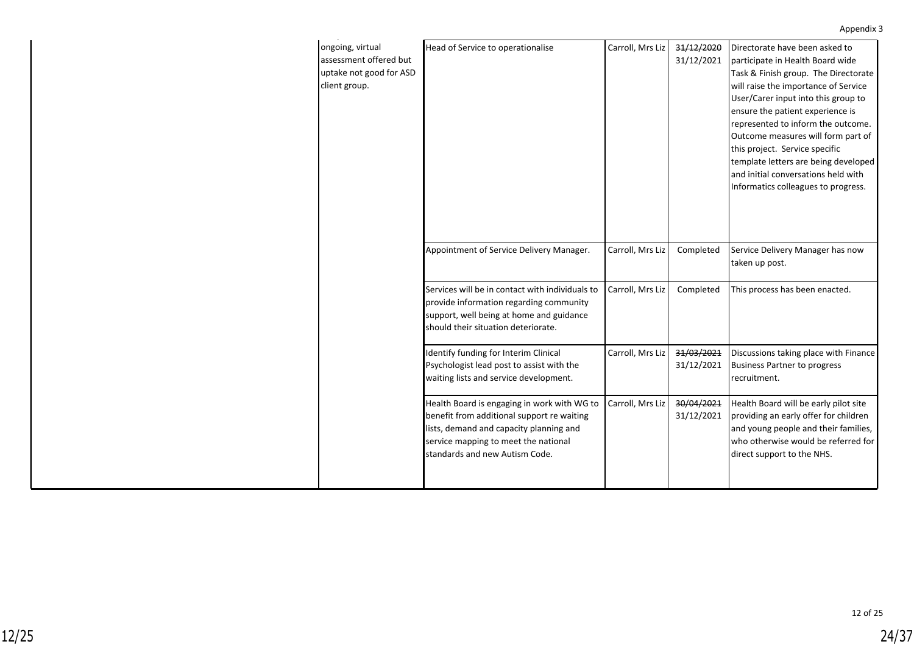| ongoing, virtual<br>assessment offered but<br>uptake not good for ASD<br>client group. | Head of Service to operationalise                                                                                                                                                                              | Carroll, Mrs Liz | 31/12/2020<br>31/12/2021 | Directorate have been asked to<br>participate in Health Board wide<br>Task & Finish group. The Directorate<br>will raise the importance of Service<br>User/Carer input into this group to<br>ensure the patient experience is<br>represented to inform the outcome.<br>Outcome measures will form part of<br>this project. Service specific<br>template letters are being developed<br>and initial conversations held with<br>Informatics colleagues to progress. |
|----------------------------------------------------------------------------------------|----------------------------------------------------------------------------------------------------------------------------------------------------------------------------------------------------------------|------------------|--------------------------|-------------------------------------------------------------------------------------------------------------------------------------------------------------------------------------------------------------------------------------------------------------------------------------------------------------------------------------------------------------------------------------------------------------------------------------------------------------------|
|                                                                                        | Appointment of Service Delivery Manager.                                                                                                                                                                       | Carroll, Mrs Liz | Completed                | Service Delivery Manager has now<br>taken up post.                                                                                                                                                                                                                                                                                                                                                                                                                |
|                                                                                        | Services will be in contact with individuals to<br>provide information regarding community<br>support, well being at home and guidance<br>should their situation deteriorate.                                  | Carroll, Mrs Liz | Completed                | This process has been enacted.                                                                                                                                                                                                                                                                                                                                                                                                                                    |
|                                                                                        | Identify funding for Interim Clinical<br>Psychologist lead post to assist with the<br>waiting lists and service development.                                                                                   | Carroll, Mrs Liz | 31/03/2021<br>31/12/2021 | Discussions taking place with Finance<br><b>Business Partner to progress</b><br>recruitment.                                                                                                                                                                                                                                                                                                                                                                      |
|                                                                                        | Health Board is engaging in work with WG to<br>benefit from additional support re waiting<br>lists, demand and capacity planning and<br>service mapping to meet the national<br>standards and new Autism Code. | Carroll, Mrs Liz | 30/04/2021<br>31/12/2021 | Health Board will be early pilot site<br>providing an early offer for children<br>and young people and their families,<br>who otherwise would be referred for<br>direct support to the NHS.                                                                                                                                                                                                                                                                       |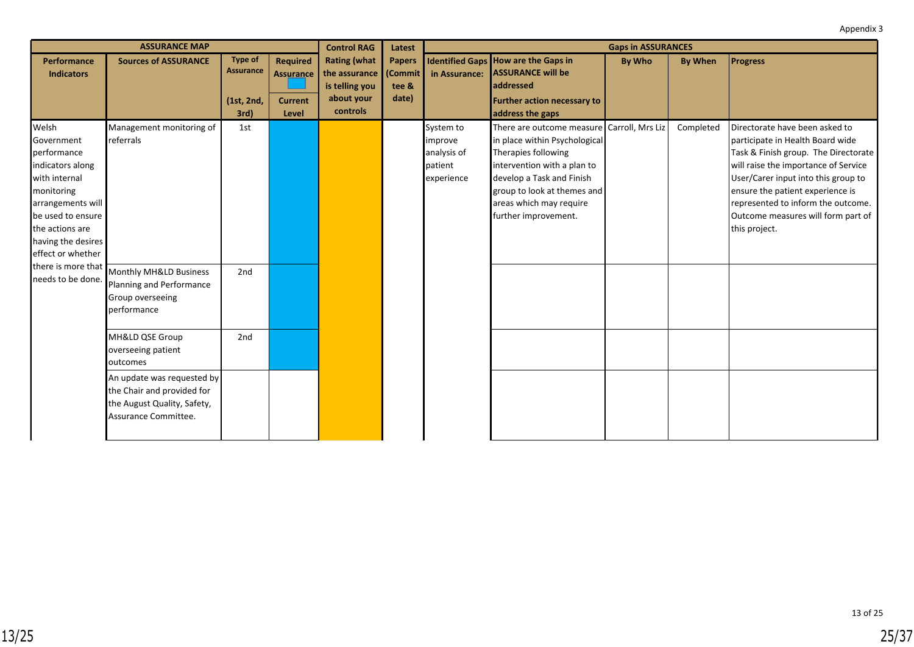|                                                                                                                                                                                               | <b>ASSURANCE MAP</b>                                                                                            |                             |                                     | <b>Control RAG</b>                   | Latest                   | <b>Gaps in ASSURANCES</b>                                    |                                                                                                                                                                                                                                                    |               |                |                                                                                                                                                                                                                                                                                                                            |
|-----------------------------------------------------------------------------------------------------------------------------------------------------------------------------------------------|-----------------------------------------------------------------------------------------------------------------|-----------------------------|-------------------------------------|--------------------------------------|--------------------------|--------------------------------------------------------------|----------------------------------------------------------------------------------------------------------------------------------------------------------------------------------------------------------------------------------------------------|---------------|----------------|----------------------------------------------------------------------------------------------------------------------------------------------------------------------------------------------------------------------------------------------------------------------------------------------------------------------------|
| <b>Performance</b><br><b>Indicators</b>                                                                                                                                                       | <b>Sources of ASSURANCE</b>                                                                                     | <b>Type of</b><br>Assurance | <b>Required</b><br><b>Assurance</b> | <b>Rating (what</b><br>the assurance | <b>Papers</b><br>(Commit | in Assurance:                                                | <b>Identified Gaps How are the Gaps in</b><br><b>ASSURANCE will be</b>                                                                                                                                                                             | <b>By Who</b> | <b>By When</b> | <b>Progress</b>                                                                                                                                                                                                                                                                                                            |
|                                                                                                                                                                                               |                                                                                                                 |                             |                                     | is telling you                       | tee &                    |                                                              | addressed                                                                                                                                                                                                                                          |               |                |                                                                                                                                                                                                                                                                                                                            |
|                                                                                                                                                                                               |                                                                                                                 | (1st, 2nd,                  | <b>Current</b>                      | about your                           | date)                    |                                                              | <b>Further action necessary to</b>                                                                                                                                                                                                                 |               |                |                                                                                                                                                                                                                                                                                                                            |
|                                                                                                                                                                                               |                                                                                                                 | 3rd)                        | Level                               | controls                             |                          |                                                              | address the gaps                                                                                                                                                                                                                                   |               |                |                                                                                                                                                                                                                                                                                                                            |
| Welsh<br>Government<br>performance<br>indicators along<br>with internal<br>monitoring<br>arrangements will<br>be used to ensure<br>the actions are<br>having the desires<br>effect or whether | Management monitoring of<br>referrals                                                                           | 1st                         |                                     |                                      |                          | System to<br>improve<br>analysis of<br>patient<br>experience | There are outcome measure   Carroll, Mrs Liz<br>in place within Psychological<br>Therapies following<br>intervention with a plan to<br>develop a Task and Finish<br>group to look at themes and<br>areas which may require<br>further improvement. |               | Completed      | Directorate have been asked to<br>participate in Health Board wide<br>Task & Finish group. The Directorate<br>will raise the importance of Service<br>User/Carer input into this group to<br>ensure the patient experience is<br>represented to inform the outcome.<br>Outcome measures will form part of<br>this project. |
| there is more that<br>needs to be done.                                                                                                                                                       | Monthly MH&LD Business<br>Planning and Performance<br>Group overseeing<br>performance                           | 2nd                         |                                     |                                      |                          |                                                              |                                                                                                                                                                                                                                                    |               |                |                                                                                                                                                                                                                                                                                                                            |
|                                                                                                                                                                                               | MH&LD QSE Group<br>overseeing patient<br>outcomes                                                               | 2nd                         |                                     |                                      |                          |                                                              |                                                                                                                                                                                                                                                    |               |                |                                                                                                                                                                                                                                                                                                                            |
|                                                                                                                                                                                               | An update was requested by<br>the Chair and provided for<br>the August Quality, Safety,<br>Assurance Committee. |                             |                                     |                                      |                          |                                                              |                                                                                                                                                                                                                                                    |               |                |                                                                                                                                                                                                                                                                                                                            |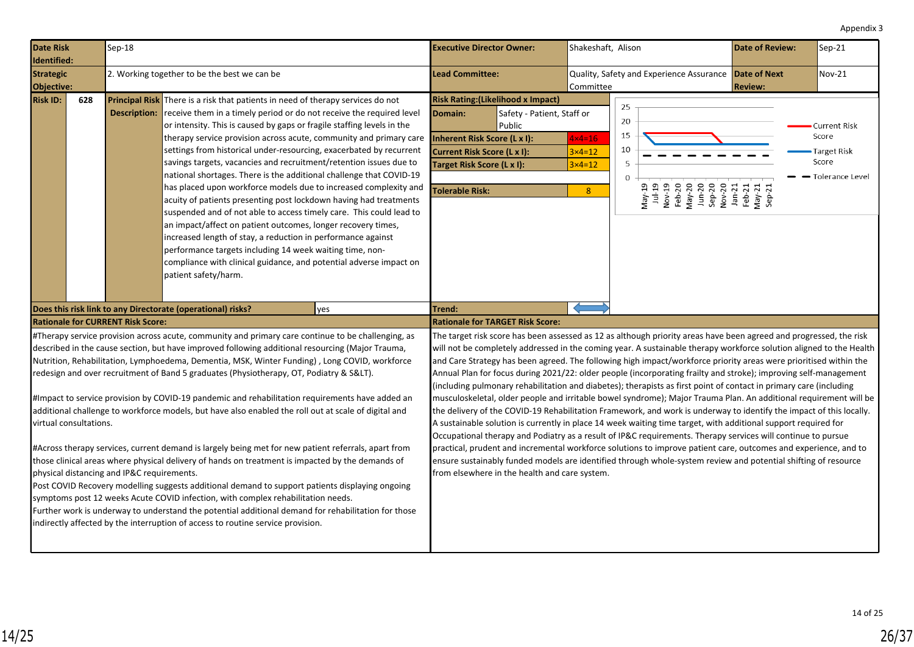<span id="page-25-0"></span>

| <b>Date Risk</b><br>Identified:                                                       |     | $Sep-18$                                                                               |                                                                                                                                                                                                                                                                                                                                                                                                                                                                                                                                                                                                                                                                                                                                                                                                                                                                                                                                                                                                                                                                                                                                                                                                         | <b>Executive Director Owner:</b>                                                                                                                                                                                                                                                                                                                                                                                                                                                                                                                                                                                                                                                                                                                                                                                                                                                                                                                                                                                                                                                                                                                                                                                                                                                                                                                                                                                        | Shakeshaft, Alison                                                        |                                                                                                                                                                             | Date of Review: | Sep-21                                                                           |
|---------------------------------------------------------------------------------------|-----|----------------------------------------------------------------------------------------|---------------------------------------------------------------------------------------------------------------------------------------------------------------------------------------------------------------------------------------------------------------------------------------------------------------------------------------------------------------------------------------------------------------------------------------------------------------------------------------------------------------------------------------------------------------------------------------------------------------------------------------------------------------------------------------------------------------------------------------------------------------------------------------------------------------------------------------------------------------------------------------------------------------------------------------------------------------------------------------------------------------------------------------------------------------------------------------------------------------------------------------------------------------------------------------------------------|-------------------------------------------------------------------------------------------------------------------------------------------------------------------------------------------------------------------------------------------------------------------------------------------------------------------------------------------------------------------------------------------------------------------------------------------------------------------------------------------------------------------------------------------------------------------------------------------------------------------------------------------------------------------------------------------------------------------------------------------------------------------------------------------------------------------------------------------------------------------------------------------------------------------------------------------------------------------------------------------------------------------------------------------------------------------------------------------------------------------------------------------------------------------------------------------------------------------------------------------------------------------------------------------------------------------------------------------------------------------------------------------------------------------------|---------------------------------------------------------------------------|-----------------------------------------------------------------------------------------------------------------------------------------------------------------------------|-----------------|----------------------------------------------------------------------------------|
| <b>Strategic</b><br>2. Working together to be the best we can be<br><b>Objective:</b> |     |                                                                                        | <b>Lead Committee:</b>                                                                                                                                                                                                                                                                                                                                                                                                                                                                                                                                                                                                                                                                                                                                                                                                                                                                                                                                                                                                                                                                                                                                                                                  | Quality, Safety and Experience Assurance Date of Next<br>Committee                                                                                                                                                                                                                                                                                                                                                                                                                                                                                                                                                                                                                                                                                                                                                                                                                                                                                                                                                                                                                                                                                                                                                                                                                                                                                                                                                      |                                                                           | <b>Review:</b>                                                                                                                                                              | <b>Nov-21</b>   |                                                                                  |
| <b>Risk ID:</b>                                                                       | 628 | <b>Description:</b>                                                                    | <b>Principal Risk</b> There is a risk that patients in need of therapy services do not<br>receive them in a timely period or do not receive the required level<br>or intensity. This is caused by gaps or fragile staffing levels in the<br>therapy service provision across acute, community and primary care<br>settings from historical under-resourcing, exacerbated by recurrent<br>savings targets, vacancies and recruitment/retention issues due to<br>national shortages. There is the additional challenge that COVID-19<br>has placed upon workforce models due to increased complexity and<br>acuity of patients presenting post lockdown having had treatments<br>suspended and of not able to access timely care. This could lead to<br>an impact/affect on patient outcomes, longer recovery times,<br>increased length of stay, a reduction in performance against<br>performance targets including 14 week waiting time, non-<br>compliance with clinical guidance, and potential adverse impact on<br>patient safety/harm.                                                                                                                                                            | <b>Risk Rating: (Likelihood x Impact)</b><br>Domain:<br>Safety - Patient, Staff or<br>Public<br>Inherent Risk Score (L x I):<br><b>Current Risk Score (L x I):</b><br>Target Risk Score (L x I):<br><b>Tolerable Risk:</b>                                                                                                                                                                                                                                                                                                                                                                                                                                                                                                                                                                                                                                                                                                                                                                                                                                                                                                                                                                                                                                                                                                                                                                                              | $4\times4=16$<br>$3 \times 4 = 12$<br>$3 \times 4 = 12$<br>8 <sup>°</sup> | 25<br>20<br>15<br>10<br>.5<br>$\mathbf 0$<br>May-19<br>Jul-19<br>Nov-19<br>Nov-20<br>Rep-20<br>Sep-20<br>Sep-21<br>Rep-21<br>Rep-21<br>Rep-21<br>May-21<br>Rep-21<br>Rep-21 |                 | <b>Current Risk</b><br>Score<br><b>Target Risk</b><br>Score<br>- Tolerance Level |
|                                                                                       |     |                                                                                        | Does this risk link to any Directorate (operational) risks?<br>yes                                                                                                                                                                                                                                                                                                                                                                                                                                                                                                                                                                                                                                                                                                                                                                                                                                                                                                                                                                                                                                                                                                                                      | Trend:                                                                                                                                                                                                                                                                                                                                                                                                                                                                                                                                                                                                                                                                                                                                                                                                                                                                                                                                                                                                                                                                                                                                                                                                                                                                                                                                                                                                                  |                                                                           |                                                                                                                                                                             |                 |                                                                                  |
| virtual consultations.                                                                |     | <b>Rationale for CURRENT Risk Score:</b><br>physical distancing and IP&C requirements. | #Therapy service provision across acute, community and primary care continue to be challenging, as<br>described in the cause section, but have improved following additional resourcing (Major Trauma,<br>Nutrition, Rehabilitation, Lymphoedema, Dementia, MSK, Winter Funding), Long COVID, workforce<br>redesign and over recruitment of Band 5 graduates (Physiotherapy, OT, Podiatry & S<).<br>#Impact to service provision by COVID-19 pandemic and rehabilitation requirements have added an<br>additional challenge to workforce models, but have also enabled the roll out at scale of digital and<br>#Across therapy services, current demand is largely being met for new patient referrals, apart from<br>those clinical areas where physical delivery of hands on treatment is impacted by the demands of<br>Post COVID Recovery modelling suggests additional demand to support patients displaying ongoing<br>symptoms post 12 weeks Acute COVID infection, with complex rehabilitation needs.<br>Further work is underway to understand the potential additional demand for rehabilitation for those<br>indirectly affected by the interruption of access to routine service provision. | <b>Rationale for TARGET Risk Score:</b><br>The target risk score has been assessed as 12 as although priority areas have been agreed and progressed, the risk<br>will not be completely addressed in the coming year. A sustainable therapy workforce solution aligned to the Health<br>and Care Strategy has been agreed. The following high impact/workforce priority areas were prioritised within the<br>Annual Plan for focus during 2021/22: older people (incorporating frailty and stroke); improving self-management<br>(including pulmonary rehabilitation and diabetes); therapists as first point of contact in primary care (including<br>musculoskeletal, older people and irritable bowel syndrome); Major Trauma Plan. An additional requirement will be<br>the delivery of the COVID-19 Rehabilitation Framework, and work is underway to identify the impact of this locally.<br>A sustainable solution is currently in place 14 week waiting time target, with additional support required for<br>Occupational therapy and Podiatry as a result of IP&C requirements. Therapy services will continue to pursue<br>practical, prudent and incremental workforce solutions to improve patient care, outcomes and experience, and to<br>ensure sustainably funded models are identified through whole-system review and potential shifting of resource<br>from elsewhere in the health and care system. |                                                                           |                                                                                                                                                                             |                 |                                                                                  |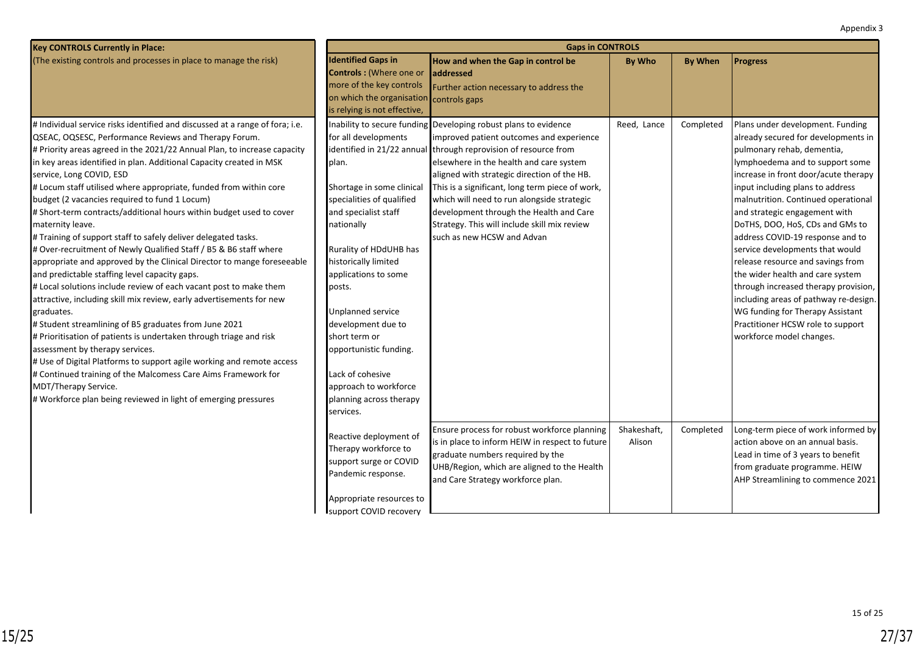| Appendix 3 |  |
|------------|--|
|------------|--|

| <b>Key CONTROLS Currently in Place:</b>                                                                                                                                                                                                                                                                                                                                                                                                                                                                                                                                                                                                                                                                                                                                                                                                                                                                                                                                                                                                                                                                                                                                                                                                                                                                                                                                  | <b>Gaps in CONTROLS</b>                                                                                                                                                                                                                                                                                                                                                                      |                                                                                                                                                                                                                                                                                                                                                                                                                                                                                                    |                       |                |                                                                                                                                                                                                                                                                                                                                                                                                                                                                                                                                                                                                                                                                       |  |  |  |
|--------------------------------------------------------------------------------------------------------------------------------------------------------------------------------------------------------------------------------------------------------------------------------------------------------------------------------------------------------------------------------------------------------------------------------------------------------------------------------------------------------------------------------------------------------------------------------------------------------------------------------------------------------------------------------------------------------------------------------------------------------------------------------------------------------------------------------------------------------------------------------------------------------------------------------------------------------------------------------------------------------------------------------------------------------------------------------------------------------------------------------------------------------------------------------------------------------------------------------------------------------------------------------------------------------------------------------------------------------------------------|----------------------------------------------------------------------------------------------------------------------------------------------------------------------------------------------------------------------------------------------------------------------------------------------------------------------------------------------------------------------------------------------|----------------------------------------------------------------------------------------------------------------------------------------------------------------------------------------------------------------------------------------------------------------------------------------------------------------------------------------------------------------------------------------------------------------------------------------------------------------------------------------------------|-----------------------|----------------|-----------------------------------------------------------------------------------------------------------------------------------------------------------------------------------------------------------------------------------------------------------------------------------------------------------------------------------------------------------------------------------------------------------------------------------------------------------------------------------------------------------------------------------------------------------------------------------------------------------------------------------------------------------------------|--|--|--|
| (The existing controls and processes in place to manage the risk)                                                                                                                                                                                                                                                                                                                                                                                                                                                                                                                                                                                                                                                                                                                                                                                                                                                                                                                                                                                                                                                                                                                                                                                                                                                                                                        | <b>Identified Gaps in</b><br>Controls : (Where one or<br>more of the key controls<br>on which the organisation<br>is relying is not effective,                                                                                                                                                                                                                                               | How and when the Gap in control be<br><b>addressed</b><br>Further action necessary to address the<br>controls gaps                                                                                                                                                                                                                                                                                                                                                                                 | By Who                | <b>By When</b> | <b>Progress</b>                                                                                                                                                                                                                                                                                                                                                                                                                                                                                                                                                                                                                                                       |  |  |  |
| # Individual service risks identified and discussed at a range of fora; i.e.<br>QSEAC, OQSESC, Performance Reviews and Therapy Forum.<br># Priority areas agreed in the 2021/22 Annual Plan, to increase capacity<br>in key areas identified in plan. Additional Capacity created in MSK<br>service, Long COVID, ESD<br># Locum staff utilised where appropriate, funded from within core<br>budget (2 vacancies required to fund 1 Locum)<br># Short-term contracts/additional hours within budget used to cover<br>maternity leave.<br># Training of support staff to safely deliver delegated tasks.<br># Over-recruitment of Newly Qualified Staff / B5 & B6 staff where<br>appropriate and approved by the Clinical Director to mange foreseeable<br>and predictable staffing level capacity gaps.<br># Local solutions include review of each vacant post to make them<br>attractive, including skill mix review, early advertisements for new<br>graduates.<br># Student streamlining of B5 graduates from June 2021<br># Prioritisation of patients is undertaken through triage and risk<br>assessment by therapy services.<br># Use of Digital Platforms to support agile working and remote access<br># Continued training of the Malcomess Care Aims Framework for<br>MDT/Therapy Service.<br># Workforce plan being reviewed in light of emerging pressures | for all developments<br>plan.<br>Shortage in some clinical<br>specialities of qualified<br>and specialist staff<br>nationally<br>Rurality of HDdUHB has<br>historically limited<br>applications to some<br>posts.<br>Unplanned service<br>development due to<br>short term or<br>opportunistic funding.<br>Lack of cohesive<br>approach to workforce<br>planning across therapy<br>services. | Inability to secure funding Developing robust plans to evidence<br>improved patient outcomes and experience<br>identified in 21/22 annual through reprovision of resource from<br>elsewhere in the health and care system<br>aligned with strategic direction of the HB.<br>This is a significant, long term piece of work,<br>which will need to run alongside strategic<br>development through the Health and Care<br>Strategy. This will include skill mix review<br>such as new HCSW and Advan | Reed, Lance           | Completed      | Plans under development. Funding<br>already secured for developments in<br>pulmonary rehab, dementia,<br>lymphoedema and to support some<br>increase in front door/acute therapy<br>input including plans to address<br>malnutrition. Continued operational<br>and strategic engagement with<br>DoTHS, DOO, HoS, CDs and GMs to<br>address COVID-19 response and to<br>service developments that would<br>release resource and savings from<br>the wider health and care system<br>through increased therapy provision,<br>including areas of pathway re-design.<br>WG funding for Therapy Assistant<br>Practitioner HCSW role to support<br>workforce model changes. |  |  |  |
|                                                                                                                                                                                                                                                                                                                                                                                                                                                                                                                                                                                                                                                                                                                                                                                                                                                                                                                                                                                                                                                                                                                                                                                                                                                                                                                                                                          | Reactive deployment of<br>Therapy workforce to<br>support surge or COVID<br>Pandemic response.<br>Appropriate resources to                                                                                                                                                                                                                                                                   | Ensure process for robust workforce planning<br>is in place to inform HEIW in respect to future<br>graduate numbers required by the<br>UHB/Region, which are aligned to the Health<br>and Care Strategy workforce plan.                                                                                                                                                                                                                                                                            | Shakeshaft,<br>Alison | Completed      | Long-term piece of work informed by<br>action above on an annual basis.<br>Lead in time of 3 years to benefit<br>from graduate programme. HEIW<br>AHP Streamlining to commence 2021                                                                                                                                                                                                                                                                                                                                                                                                                                                                                   |  |  |  |
|                                                                                                                                                                                                                                                                                                                                                                                                                                                                                                                                                                                                                                                                                                                                                                                                                                                                                                                                                                                                                                                                                                                                                                                                                                                                                                                                                                          | Isupport COVID recovery                                                                                                                                                                                                                                                                                                                                                                      |                                                                                                                                                                                                                                                                                                                                                                                                                                                                                                    |                       |                |                                                                                                                                                                                                                                                                                                                                                                                                                                                                                                                                                                                                                                                                       |  |  |  |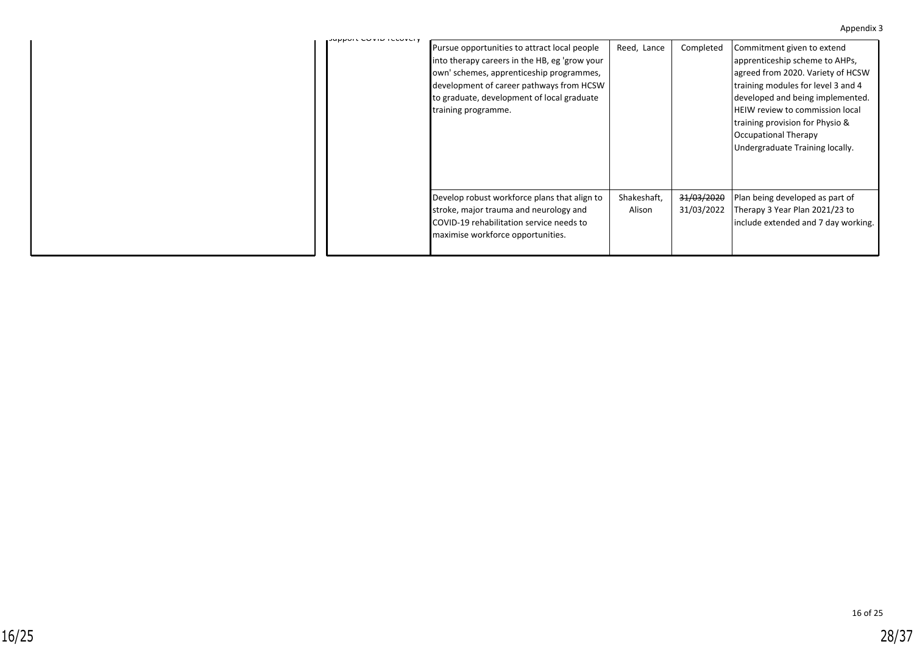#### Appendix 3

| <b>SUPPORT COVID FLOOVER</b> |                                                                                                                                                                                                                                                            |                       |                                     |                                                                                                                                                                                                                                                                                                                      |
|------------------------------|------------------------------------------------------------------------------------------------------------------------------------------------------------------------------------------------------------------------------------------------------------|-----------------------|-------------------------------------|----------------------------------------------------------------------------------------------------------------------------------------------------------------------------------------------------------------------------------------------------------------------------------------------------------------------|
|                              | Pursue opportunities to attract local people<br>into therapy careers in the HB, eg 'grow your<br>own' schemes, apprenticeship programmes,<br>development of career pathways from HCSW<br>to graduate, development of local graduate<br>training programme. | Reed, Lance           | Completed                           | Commitment given to extend<br>apprenticeship scheme to AHPs,<br>agreed from 2020. Variety of HCSW<br>training modules for level 3 and 4<br>developed and being implemented.<br><b>HEIW</b> review to commission local<br>Itraining provision for Physio &<br>Occupational Therapy<br>Undergraduate Training locally. |
|                              | Develop robust workforce plans that align to<br>stroke, major trauma and neurology and<br>COVID-19 rehabilitation service needs to<br>maximise workforce opportunities.                                                                                    | Shakeshaft,<br>Alison | <del>31/03/2020</del><br>31/03/2022 | Plan being developed as part of<br>Therapy 3 Year Plan 2021/23 to<br>include extended and 7 day working.                                                                                                                                                                                                             |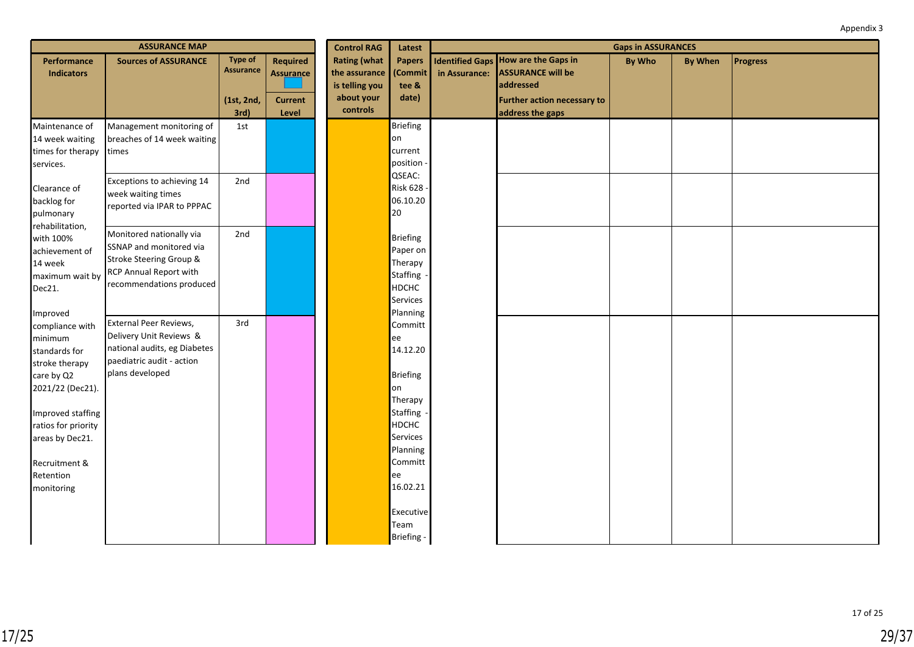| <b>ASSURANCE MAP</b>                                                                                        |                                                                                                                                      |                                                          | <b>Control RAG</b>                                      | Latest                                                                           | <b>Gaps in ASSURANCES</b>                                              |               |                                                                                                                                        |               |                |                 |
|-------------------------------------------------------------------------------------------------------------|--------------------------------------------------------------------------------------------------------------------------------------|----------------------------------------------------------|---------------------------------------------------------|----------------------------------------------------------------------------------|------------------------------------------------------------------------|---------------|----------------------------------------------------------------------------------------------------------------------------------------|---------------|----------------|-----------------|
| Performance<br><b>Indicators</b>                                                                            | <b>Sources of ASSURANCE</b>                                                                                                          | <b>Type of</b><br><b>Assurance</b><br>(1st, 2nd,<br>3rd) | Required<br><b>Assurance</b><br><b>Current</b><br>Level | <b>Rating (what</b><br>the assurance<br>is telling you<br>about your<br>controls | <b>Papers</b><br>(Commit<br>tee &<br>date)                             | in Assurance: | <b>Identified Gaps How are the Gaps in</b><br><b>ASSURANCE will be</b><br>addressed<br>Further action necessary to<br>address the gaps | <b>By Who</b> | <b>By When</b> | <b>Progress</b> |
| Maintenance of<br>14 week waiting<br>times for therapy<br>services.                                         | Management monitoring of<br>breaches of 14 week waiting<br>times                                                                     | 1st                                                      |                                                         |                                                                                  | Briefing<br>on<br>current<br>position                                  |               |                                                                                                                                        |               |                |                 |
| Clearance of<br>backlog for<br>pulmonary                                                                    | Exceptions to achieving 14<br>week waiting times<br>reported via IPAR to PPPAC                                                       | 2nd                                                      |                                                         |                                                                                  | QSEAC:<br>Risk 628<br>06.10.20<br>20                                   |               |                                                                                                                                        |               |                |                 |
| rehabilitation,<br>with 100%<br>achievement of<br>14 week<br>maximum wait by<br>Dec21.                      | Monitored nationally via<br>SSNAP and monitored via<br>Stroke Steering Group &<br>RCP Annual Report with<br>recommendations produced | 2nd                                                      |                                                         |                                                                                  | Briefing<br>Paper on<br>Therapy<br>Staffing<br>HDCHC<br>Services       |               |                                                                                                                                        |               |                |                 |
| Improved<br>compliance with<br>minimum<br>standards for<br>stroke therapy<br>care by Q2<br>2021/22 (Dec21). | External Peer Reviews,<br>Delivery Unit Reviews &<br>national audits, eg Diabetes<br>paediatric audit - action<br>plans developed    | 3rd                                                      |                                                         |                                                                                  | Planning<br>Committ<br>ee<br>14.12.20<br>Briefing<br>on<br>Therapy     |               |                                                                                                                                        |               |                |                 |
| Improved staffing<br>ratios for priority<br>areas by Dec21.<br>Recruitment &<br>Retention<br>monitoring     |                                                                                                                                      |                                                          |                                                         |                                                                                  | Staffing<br>HDCHC<br>Services<br>Planning<br>Committ<br>ee<br>16.02.21 |               |                                                                                                                                        |               |                |                 |
|                                                                                                             |                                                                                                                                      |                                                          |                                                         |                                                                                  | Executive<br>Team<br>Briefing -                                        |               |                                                                                                                                        |               |                |                 |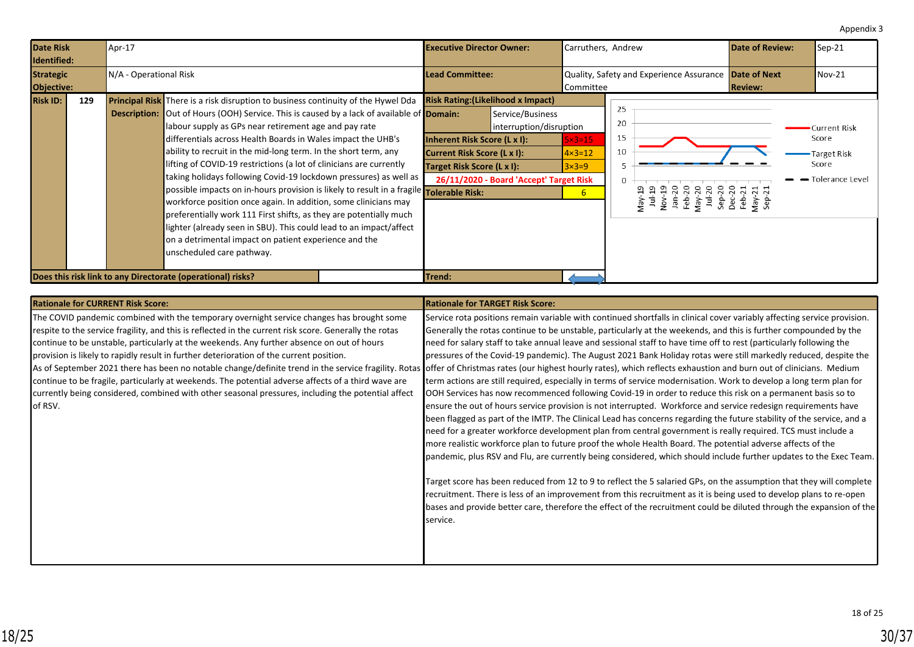<span id="page-29-0"></span>

| <b>Date Risk</b><br>Identified:       |     | Apr-17<br><b>Executive Director Owner:</b> |                                                                                                                                                                                                                                                                                                                                                                                                                                                                                                                                                                                                                                                                                                                                                                                                                                                                                                                                                    | Carruthers, Andrew                                                                                                                     |                                                                                        | <b>Date of Review:</b>                                              | $\textsf{Sep-}21$                                                                                                                                     |                |                                                                         |
|---------------------------------------|-----|--------------------------------------------|----------------------------------------------------------------------------------------------------------------------------------------------------------------------------------------------------------------------------------------------------------------------------------------------------------------------------------------------------------------------------------------------------------------------------------------------------------------------------------------------------------------------------------------------------------------------------------------------------------------------------------------------------------------------------------------------------------------------------------------------------------------------------------------------------------------------------------------------------------------------------------------------------------------------------------------------------|----------------------------------------------------------------------------------------------------------------------------------------|----------------------------------------------------------------------------------------|---------------------------------------------------------------------|-------------------------------------------------------------------------------------------------------------------------------------------------------|----------------|-------------------------------------------------------------------------|
| <b>Strategic</b><br><b>Objective:</b> |     | N/A - Operational Risk                     |                                                                                                                                                                                                                                                                                                                                                                                                                                                                                                                                                                                                                                                                                                                                                                                                                                                                                                                                                    | <b>ILead Committee:</b>                                                                                                                |                                                                                        | Quality, Safety and Experience Assurance Date of Next<br> Committee |                                                                                                                                                       | <b>Review:</b> | $Nov-21$                                                                |
| <b>Risk ID:</b>                       | 129 |                                            | <b>Principal Risk</b> There is a risk disruption to business continuity of the Hywel Dda<br><b>Description:</b> Out of Hours (OOH) Service. This is caused by a lack of available of <b>Domain:</b><br>labour supply as GPs near retirement age and pay rate<br>differentials across Health Boards in Wales impact the UHB's<br>ability to recruit in the mid-long term. In the short term, any<br>lifting of COVID-19 restrictions (a lot of clinicians are currently<br>taking holidays following Covid-19 lockdown pressures) as well as<br>possible impacts on in-hours provision is likely to result in a fragile <b>Tolerable Risk:</b><br>workforce position once again. In addition, some clinicians may<br>preferentially work 111 First shifts, as they are potentially much<br>lighter (already seen in SBU). This could lead to an impact/affect<br>on a detrimental impact on patient experience and the<br>unscheduled care pathway. | <b>Risk Rating: (Likelihood x Impact)</b><br>Inherent Risk Score (L x I):<br>Current Risk Score (L x I):<br>Target Risk Score (L x I): | Service/Business<br>interruption/disruption<br>26/11/2020 - Board 'Accept' Target Risk | $5 \times 3 = 15$<br>$4 \times 3 = 12$<br>$3\times3=9$<br>6         | 25<br>20<br>15<br>10<br>$\Omega$<br>비 19<br>Nov-19<br>Am-20<br>Feb-20<br>Am-20<br>Sep-20<br>Sep-21<br>Am-21<br>Am-21<br>Am-21<br>Am-21<br>Am-21<br>χã |                | Current Risk<br>Score<br>Target Risk<br>Score<br><b>Tolerance Level</b> |
|                                       |     |                                            | Does this risk link to any Directorate (operational) risks?                                                                                                                                                                                                                                                                                                                                                                                                                                                                                                                                                                                                                                                                                                                                                                                                                                                                                        | Trend:                                                                                                                                 |                                                                                        |                                                                     |                                                                                                                                                       |                |                                                                         |

| <b>Rationale for CURRENT Risk Score:</b>                                                               | <b>Rationale for TARGET Risk Score:</b>                                                                                                                                                                                                                                                                                                                                       |
|--------------------------------------------------------------------------------------------------------|-------------------------------------------------------------------------------------------------------------------------------------------------------------------------------------------------------------------------------------------------------------------------------------------------------------------------------------------------------------------------------|
| The COVID pandemic combined with the temporary overnight service changes has brought some              | Service rota positions remain variable with continued shortfalls in clinical cover variably affecting service provision.                                                                                                                                                                                                                                                      |
| respite to the service fragility, and this is reflected in the current risk score. Generally the rotas | Generally the rotas continue to be unstable, particularly at the weekends, and this is further compounded by the                                                                                                                                                                                                                                                              |
| continue to be unstable, particularly at the weekends. Any further absence on out of hours             | need for salary staff to take annual leave and sessional staff to have time off to rest (particularly following the                                                                                                                                                                                                                                                           |
| provision is likely to rapidly result in further deterioration of the current position.                | pressures of the Covid-19 pandemic). The August 2021 Bank Holiday rotas were still markedly reduced, despite the                                                                                                                                                                                                                                                              |
| As of September 2021 there has been no notable change/definite trend in the service fragility. Rotas   | Soffer of Christmas rates (our highest hourly rates), which reflects exhaustion and burn out of clinicians. Medium                                                                                                                                                                                                                                                            |
| continue to be fragile, particularly at weekends. The potential adverse affects of a third wave are    | term actions are still required, especially in terms of service modernisation. Work to develop a long term plan for                                                                                                                                                                                                                                                           |
| currently being considered, combined with other seasonal pressures, including the potential affect     | OOH Services has now recommenced following Covid-19 in order to reduce this risk on a permanent basis so to                                                                                                                                                                                                                                                                   |
| of RSV.                                                                                                | ensure the out of hours service provision is not interrupted. Workforce and service redesign requirements have                                                                                                                                                                                                                                                                |
|                                                                                                        | been flagged as part of the IMTP. The Clinical Lead has concerns regarding the future stability of the service, and a                                                                                                                                                                                                                                                         |
|                                                                                                        | need for a greater workforce development plan from central government is really required. TCS must include a                                                                                                                                                                                                                                                                  |
|                                                                                                        | more realistic workforce plan to future proof the whole Health Board. The potential adverse affects of the                                                                                                                                                                                                                                                                    |
|                                                                                                        | pandemic, plus RSV and Flu, are currently being considered, which should include further updates to the Exec Team.                                                                                                                                                                                                                                                            |
|                                                                                                        | Target score has been reduced from 12 to 9 to reflect the 5 salaried GPs, on the assumption that they will complete<br>recruitment. There is less of an improvement from this recruitment as it is being used to develop plans to re-open<br>bases and provide better care, therefore the effect of the recruitment could be diluted through the expansion of the<br>service. |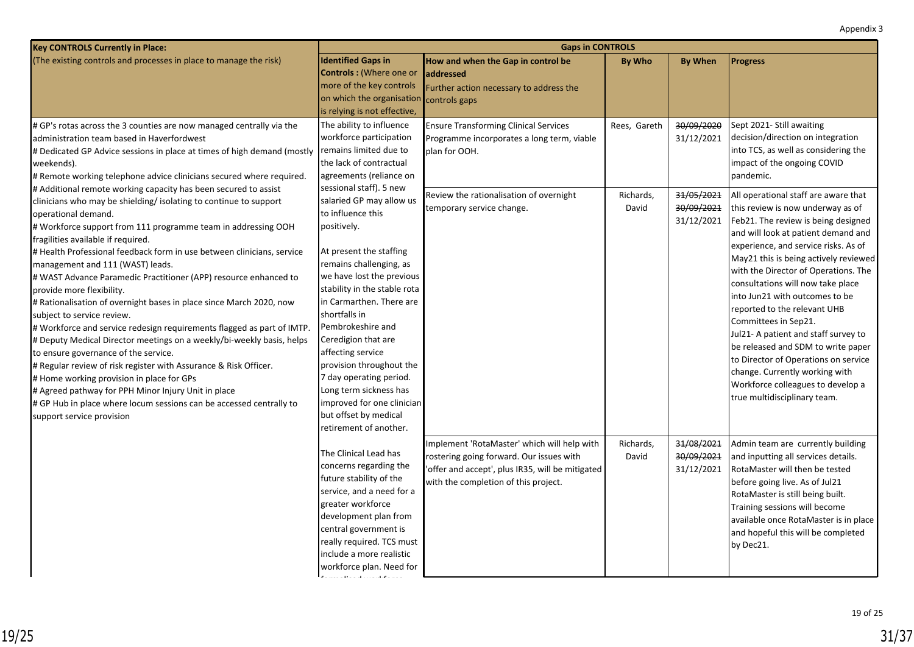| <b>Key CONTROLS Currently in Place:</b>                                                           | <b>Gaps in CONTROLS</b>                                  |                                                  |              |                |                                       |  |  |  |
|---------------------------------------------------------------------------------------------------|----------------------------------------------------------|--------------------------------------------------|--------------|----------------|---------------------------------------|--|--|--|
| (The existing controls and processes in place to manage the risk)                                 | <b>Identified Gaps in</b>                                | How and when the Gap in control be               | By Who       | <b>By When</b> | <b>Progress</b>                       |  |  |  |
|                                                                                                   | <b>Controls: (Where one or</b>                           | <b>addressed</b>                                 |              |                |                                       |  |  |  |
|                                                                                                   | more of the key controls                                 | Further action necessary to address the          |              |                |                                       |  |  |  |
|                                                                                                   | on which the organisatior                                | controls gaps                                    |              |                |                                       |  |  |  |
|                                                                                                   | is relying is not effective,                             |                                                  |              |                |                                       |  |  |  |
| # GP's rotas across the 3 counties are now managed centrally via the                              | The ability to influence                                 | <b>Ensure Transforming Clinical Services</b>     | Rees, Gareth | 30/09/2020     | Sept 2021- Still awaiting             |  |  |  |
| administration team based in Haverfordwest                                                        | workforce participation                                  | Programme incorporates a long term, viable       |              | 31/12/2021     | decision/direction on integration     |  |  |  |
| # Dedicated GP Advice sessions in place at times of high demand (mostly                           | remains limited due to                                   | plan for OOH.                                    |              |                | into TCS, as well as considering the  |  |  |  |
| weekends).                                                                                        | the lack of contractual                                  |                                                  |              |                | impact of the ongoing COVID           |  |  |  |
| # Remote working telephone advice clinicians secured where required.                              | agreements (reliance on                                  |                                                  |              |                | pandemic.                             |  |  |  |
| # Additional remote working capacity has been secured to assist                                   | sessional staff). 5 new                                  | Review the rationalisation of overnight          | Richards,    | 31/05/2021     | All operational staff are aware that  |  |  |  |
| clinicians who may be shielding/ isolating to continue to support                                 | salaried GP may allow us                                 | temporary service change.                        | David        | 30/09/2021     | this review is now underway as of     |  |  |  |
| operational demand.                                                                               | to influence this                                        |                                                  |              | 31/12/2021     | Feb21. The review is being designed   |  |  |  |
| # Workforce support from 111 programme team in addressing OOH                                     | positively.                                              |                                                  |              |                | and will look at patient demand and   |  |  |  |
| fragilities available if required.                                                                |                                                          |                                                  |              |                | experience, and service risks. As of  |  |  |  |
| # Health Professional feedback form in use between clinicians, service                            | At present the staffing                                  |                                                  |              |                | May21 this is being actively reviewed |  |  |  |
| management and 111 (WAST) leads.                                                                  | remains challenging, as                                  |                                                  |              |                | with the Director of Operations. The  |  |  |  |
| # WAST Advance Paramedic Practitioner (APP) resource enhanced to                                  | we have lost the previous                                |                                                  |              |                | consultations will now take place     |  |  |  |
| provide more flexibility.                                                                         | stability in the stable rota<br>in Carmarthen. There are |                                                  |              |                | into Jun21 with outcomes to be        |  |  |  |
| # Rationalisation of overnight bases in place since March 2020, now<br>subject to service review. | shortfalls in                                            |                                                  |              |                | reported to the relevant UHB          |  |  |  |
| # Workforce and service redesign requirements flagged as part of IMTP.                            | Pembrokeshire and                                        |                                                  |              |                | Committees in Sep21.                  |  |  |  |
| # Deputy Medical Director meetings on a weekly/bi-weekly basis, helps                             | Ceredigion that are                                      |                                                  |              |                | Jul21- A patient and staff survey to  |  |  |  |
| to ensure governance of the service.                                                              | affecting service                                        |                                                  |              |                | be released and SDM to write paper    |  |  |  |
| # Regular review of risk register with Assurance & Risk Officer.                                  | provision throughout the                                 |                                                  |              |                | to Director of Operations on service  |  |  |  |
| # Home working provision in place for GPs                                                         | 7 day operating period.                                  |                                                  |              |                | change. Currently working with        |  |  |  |
| # Agreed pathway for PPH Minor Injury Unit in place                                               | Long term sickness has                                   |                                                  |              |                | Workforce colleagues to develop a     |  |  |  |
| # GP Hub in place where locum sessions can be accessed centrally to                               | improved for one clinician                               |                                                  |              |                | true multidisciplinary team.          |  |  |  |
| support service provision                                                                         | but offset by medical                                    |                                                  |              |                |                                       |  |  |  |
|                                                                                                   | retirement of another.                                   |                                                  |              |                |                                       |  |  |  |
|                                                                                                   |                                                          | Implement 'RotaMaster' which will help with      | Richards,    | 31/08/2021     | Admin team are currently building     |  |  |  |
|                                                                                                   | The Clinical Lead has                                    | rostering going forward. Our issues with         | David        | 30/09/2021     | and inputting all services details.   |  |  |  |
|                                                                                                   | concerns regarding the                                   | 'offer and accept', plus IR35, will be mitigated |              | 31/12/2021     | RotaMaster will then be tested        |  |  |  |
|                                                                                                   | future stability of the                                  | with the completion of this project.             |              |                | before going live. As of Jul21        |  |  |  |
|                                                                                                   | service, and a need for a                                |                                                  |              |                | RotaMaster is still being built.      |  |  |  |
|                                                                                                   | greater workforce                                        |                                                  |              |                | Training sessions will become         |  |  |  |
|                                                                                                   | development plan from                                    |                                                  |              |                | available once RotaMaster is in place |  |  |  |
|                                                                                                   | central government is                                    |                                                  |              |                | and hopeful this will be completed    |  |  |  |
|                                                                                                   | really required. TCS must                                |                                                  |              |                | by Dec21.                             |  |  |  |
|                                                                                                   | include a more realistic                                 |                                                  |              |                |                                       |  |  |  |
|                                                                                                   | workforce plan. Need for                                 |                                                  |              |                |                                       |  |  |  |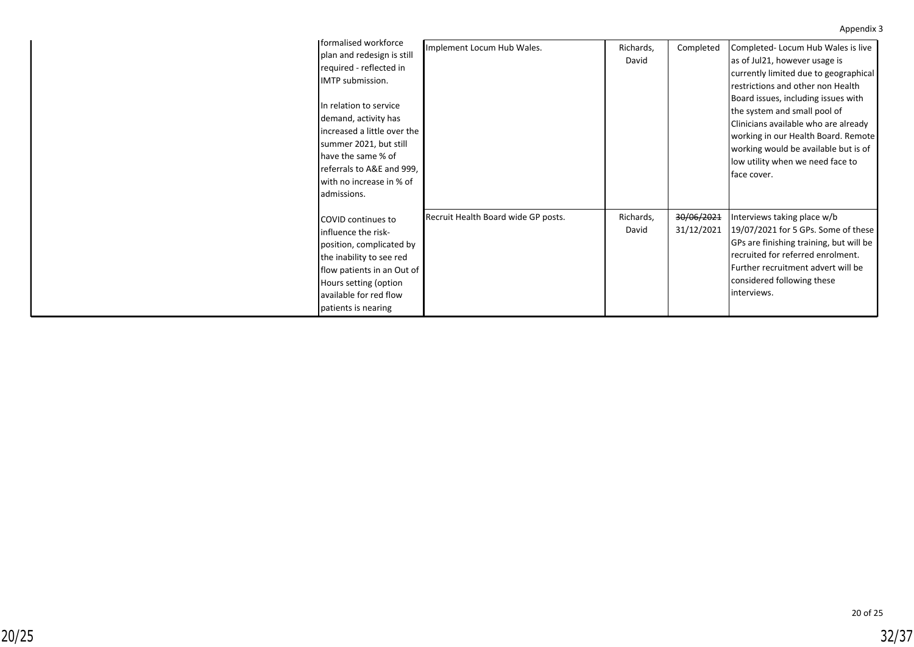| <b>I</b> formalised workforce                                                                                                                                                                                                                                                      | Implement Locum Hub Wales.          | Richards,          | Completed                | Completed-Locum Hub Wales is live                                                                                                                                                                                                                                                                                                                            |
|------------------------------------------------------------------------------------------------------------------------------------------------------------------------------------------------------------------------------------------------------------------------------------|-------------------------------------|--------------------|--------------------------|--------------------------------------------------------------------------------------------------------------------------------------------------------------------------------------------------------------------------------------------------------------------------------------------------------------------------------------------------------------|
| plan and redesign is still<br>required - reflected in<br>IMTP submission.<br>In relation to service<br>demand, activity has<br>increased a little over the<br>summer 2021, but still<br>have the same % of<br>referrals to A&E and 999,<br>with no increase in % of<br>admissions. |                                     | David              |                          | as of Jul21, however usage is<br>currently limited due to geographical<br>restrictions and other non Health<br>Board issues, including issues with<br>the system and small pool of<br>Clinicians available who are already<br>working in our Health Board. Remote<br>working would be available but is of<br>low utility when we need face to<br>face cover. |
| COVID continues to<br>influence the risk-<br>position, complicated by<br>the inability to see red<br>flow patients in an Out of<br>Hours setting (option<br>available for red flow<br>patients is nearing                                                                          | Recruit Health Board wide GP posts. | Richards,<br>David | 30/06/2021<br>31/12/2021 | Interviews taking place w/b<br>19/07/2021 for 5 GPs. Some of these<br>GPs are finishing training, but will be<br>recruited for referred enrolment.<br>Further recruitment advert will be<br>considered following these<br>interviews.                                                                                                                        |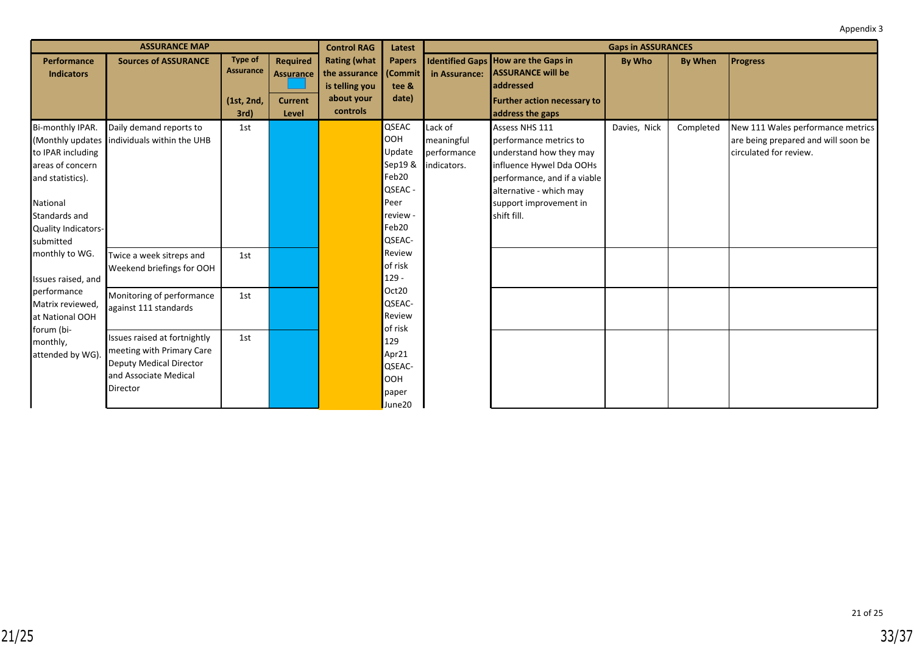| <b>ASSURANCE MAP</b> |                                               |                |                 | <b>Control RAG</b>  | Latest        | <b>Gaps in ASSURANCES</b> |                                            |               |                |                                     |
|----------------------|-----------------------------------------------|----------------|-----------------|---------------------|---------------|---------------------------|--------------------------------------------|---------------|----------------|-------------------------------------|
| <b>Performance</b>   | <b>Sources of ASSURANCE</b>                   | <b>Type of</b> | <b>Required</b> | <b>Rating (what</b> | <b>Papers</b> |                           | <b>Identified Gaps How are the Gaps in</b> | <b>By Who</b> | <b>By When</b> | <b>Progress</b>                     |
| <b>Indicators</b>    |                                               | Assurance      | Assurance       | the assurance       | (Commit       | in Assurance:             | <b>ASSURANCE will be</b>                   |               |                |                                     |
|                      |                                               |                |                 | is telling you      | tee &         |                           | addressed                                  |               |                |                                     |
|                      |                                               | (1st, 2nd,     | <b>Current</b>  | about your          | date)         |                           | <b>Further action necessary to</b>         |               |                |                                     |
|                      |                                               | 3rd)           | Level           | controls            |               |                           | address the gaps                           |               |                |                                     |
| Bi-monthly IPAR.     | Daily demand reports to                       | 1st            |                 |                     | QSEAC         | Lack of                   | Assess NHS 111                             | Davies, Nick  | Completed      | New 111 Wales performance metrics   |
|                      | (Monthly updates   individuals within the UHB |                |                 |                     | <b>OOH</b>    | meaningful                | performance metrics to                     |               |                | are being prepared and will soon be |
| to IPAR including    |                                               |                |                 |                     | Update        | performance               | understand how they may                    |               |                | circulated for review.              |
| areas of concern     |                                               |                |                 |                     | Sep19 &       | indicators.               | influence Hywel Dda OOHs                   |               |                |                                     |
| and statistics).     |                                               |                |                 |                     | Feb20         |                           | performance, and if a viable               |               |                |                                     |
|                      |                                               |                |                 |                     | QSEAC -       |                           | alternative - which may                    |               |                |                                     |
| National             |                                               |                |                 |                     | Peer          |                           | support improvement in                     |               |                |                                     |
| Standards and        |                                               |                |                 |                     | review -      |                           | shift fill.                                |               |                |                                     |
| Quality Indicators-  |                                               |                |                 |                     | Feb20         |                           |                                            |               |                |                                     |
| submitted            |                                               |                |                 |                     | QSEAC-        |                           |                                            |               |                |                                     |
| monthly to WG.       | Twice a week sitreps and                      | 1st            |                 |                     | Review        |                           |                                            |               |                |                                     |
|                      | Weekend briefings for OOH                     |                |                 |                     | of risk       |                           |                                            |               |                |                                     |
| Issues raised, and   |                                               |                |                 |                     | $129 -$       |                           |                                            |               |                |                                     |
| performance          | Monitoring of performance                     | 1st            |                 |                     | Oct20         |                           |                                            |               |                |                                     |
| Matrix reviewed,     | against 111 standards                         |                |                 |                     | QSEAC-        |                           |                                            |               |                |                                     |
| at National OOH      |                                               |                |                 |                     | Review        |                           |                                            |               |                |                                     |
| forum (bi-           | Issues raised at fortnightly                  | 1st            |                 |                     | of risk       |                           |                                            |               |                |                                     |
| monthly,             | meeting with Primary Care                     |                |                 |                     | 129           |                           |                                            |               |                |                                     |
| attended by WG)      | Deputy Medical Director                       |                |                 |                     | Apr21         |                           |                                            |               |                |                                     |
|                      | and Associate Medical                         |                |                 |                     | QSEAC-        |                           |                                            |               |                |                                     |
|                      | Director                                      |                |                 |                     | <b>OOH</b>    |                           |                                            |               |                |                                     |
|                      |                                               |                |                 |                     | paper         |                           |                                            |               |                |                                     |
|                      |                                               |                |                 |                     | June20        |                           |                                            |               |                |                                     |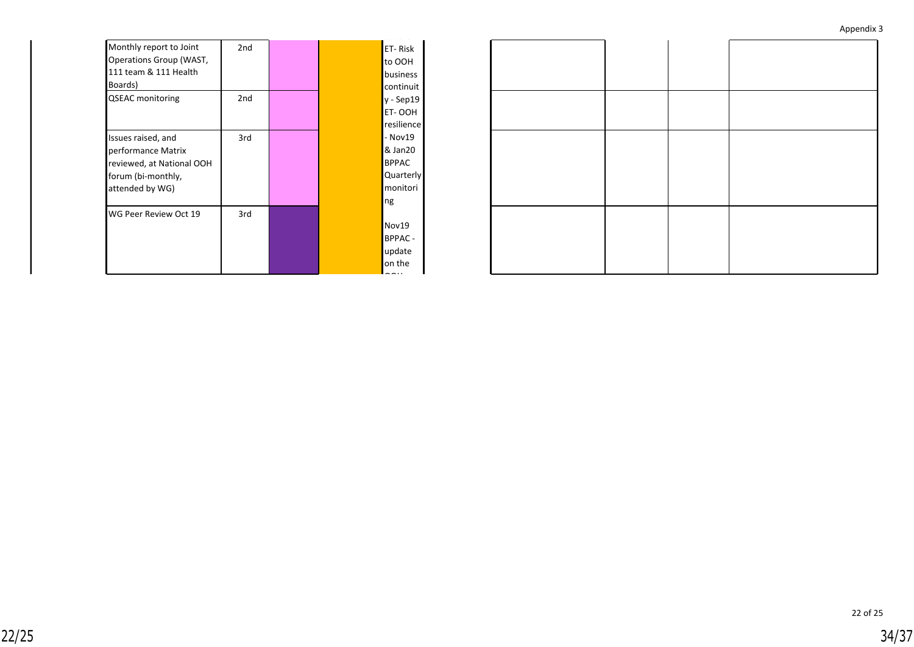| Appendix 3 |  |
|------------|--|
|------------|--|

| Monthly report to Joint<br>Operations Group (WAST,<br>111 team & 111 Health<br>Boards)                         | 2nd             |  | ET-Risk<br>to OOH<br>business<br>continuit                        |
|----------------------------------------------------------------------------------------------------------------|-----------------|--|-------------------------------------------------------------------|
| <b>QSEAC</b> monitoring                                                                                        | 2 <sub>nd</sub> |  | y - Sep19<br>ET-OOH<br>resilience                                 |
| Issues raised, and<br>performance Matrix<br>reviewed, at National OOH<br>forum (bi-monthly,<br>attended by WG) | 3rd             |  | - Nov19<br>& Jan20<br><b>BPPAC</b><br>Quarterly<br>monitori<br>ng |
| WG Peer Review Oct 19                                                                                          | 3rd             |  | Nov19<br><b>BPPAC-</b><br>update<br>on the                        |

22 of 25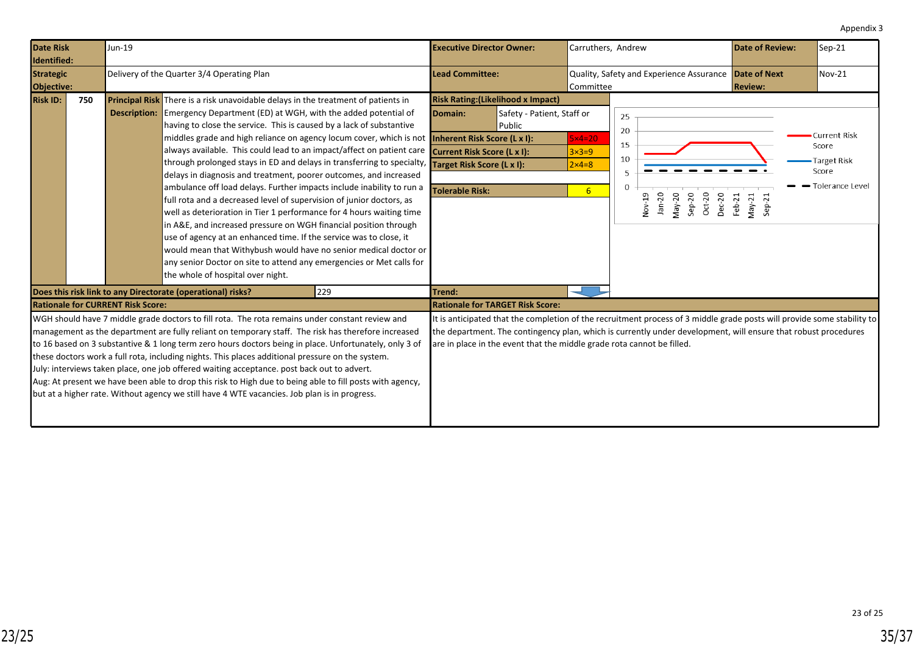<span id="page-34-0"></span>

| <b>Date Risk</b><br>Identified:       |     | Jun-19                                   |                                                                                                                                                                                                                                                                                                                                                                                                                                                                                                                                                                                                                                                                                                                                                                                                                                                                                                                                                                                                                                                                                                                                                                                                                   | <b>Executive Director Owner:</b>                                                                                                                                                                                                                                                                                                                               | Carruthers, Andrew                                                   |                                                                                                        | Date of Review:                       | Sep-21                                                           |
|---------------------------------------|-----|------------------------------------------|-------------------------------------------------------------------------------------------------------------------------------------------------------------------------------------------------------------------------------------------------------------------------------------------------------------------------------------------------------------------------------------------------------------------------------------------------------------------------------------------------------------------------------------------------------------------------------------------------------------------------------------------------------------------------------------------------------------------------------------------------------------------------------------------------------------------------------------------------------------------------------------------------------------------------------------------------------------------------------------------------------------------------------------------------------------------------------------------------------------------------------------------------------------------------------------------------------------------|----------------------------------------------------------------------------------------------------------------------------------------------------------------------------------------------------------------------------------------------------------------------------------------------------------------------------------------------------------------|----------------------------------------------------------------------|--------------------------------------------------------------------------------------------------------|---------------------------------------|------------------------------------------------------------------|
| <b>Strategic</b><br><b>Objective:</b> |     |                                          | Delivery of the Quarter 3/4 Operating Plan                                                                                                                                                                                                                                                                                                                                                                                                                                                                                                                                                                                                                                                                                                                                                                                                                                                                                                                                                                                                                                                                                                                                                                        | Lead Committee:                                                                                                                                                                                                                                                                                                                                                | Quality, Safety and Experience Assurance<br>Committee                |                                                                                                        | <b>Date of Next</b><br><b>Review:</b> | $Nov-21$                                                         |
| <b>Risk ID:</b>                       | 750 |                                          | <b>Principal Risk</b> There is a risk unavoidable delays in the treatment of patients in<br><b>Description:</b> Emergency Department (ED) at WGH, with the added potential of<br>having to close the service. This is caused by a lack of substantive<br>middles grade and high reliance on agency locum cover, which is not <b>Inherent Risk Score (L x I):</b><br>always available. This could lead to an impact/affect on patient care <b>Current Risk Score (L x I):</b><br>through prolonged stays in ED and delays in transferring to specialty, <b>Target Risk Score (L x I):</b><br>delays in diagnosis and treatment, poorer outcomes, and increased<br>ambulance off load delays. Further impacts include inability to run a<br>full rota and a decreased level of supervision of junior doctors, as<br>well as deterioration in Tier 1 performance for 4 hours waiting time<br>in A&E, and increased pressure on WGH financial position through<br>use of agency at an enhanced time. If the service was to close, it<br>would mean that Withybush would have no senior medical doctor or<br>any senior Doctor on site to attend any emergencies or Met calls for<br>the whole of hospital over night. | <b>Risk Rating: (Likelihood x Impact)</b><br>Safety - Patient, Staff or<br>Domain:<br>Public<br>Tolerable Risk:                                                                                                                                                                                                                                                | $5\times 4=20$<br>$3\times3=9$<br>$2 \times 4 = 8$<br>6 <sup>1</sup> | 25<br>20<br>15<br>10<br>$\Omega$<br>$Jan-20$<br>Nov-19<br>$May-20$<br>$Oct-20$<br>$Sep-20$<br>$Dec-20$ | Feb-21<br>$May-21$<br>$Sep-21$        | Current Risk<br>Score<br>Target Risk<br>Score<br>Tolerance Level |
|                                       |     |                                          | 229<br>Does this risk link to any Directorate (operational) risks?                                                                                                                                                                                                                                                                                                                                                                                                                                                                                                                                                                                                                                                                                                                                                                                                                                                                                                                                                                                                                                                                                                                                                | Trend:                                                                                                                                                                                                                                                                                                                                                         |                                                                      |                                                                                                        |                                       |                                                                  |
|                                       |     | <b>Rationale for CURRENT Risk Score:</b> | WGH should have 7 middle grade doctors to fill rota. The rota remains under constant review and<br>management as the department are fully reliant on temporary staff. The risk has therefore increased<br>to 16 based on 3 substantive & 1 long term zero hours doctors being in place. Unfortunately, only 3 of<br>these doctors work a full rota, including nights. This places additional pressure on the system.<br>July: interviews taken place, one job offered waiting acceptance. post back out to advert.<br>Aug: At present we have been able to drop this risk to High due to being able to fill posts with agency,<br>but at a higher rate. Without agency we still have 4 WTE vacancies. Job plan is in progress.                                                                                                                                                                                                                                                                                                                                                                                                                                                                                    | <b>Rationale for TARGET Risk Score:</b><br>It is anticipated that the completion of the recruitment process of 3 middle grade posts will provide some stability to<br>the department. The contingency plan, which is currently under development, will ensure that robust procedures<br>are in place in the event that the middle grade rota cannot be filled. |                                                                      |                                                                                                        |                                       |                                                                  |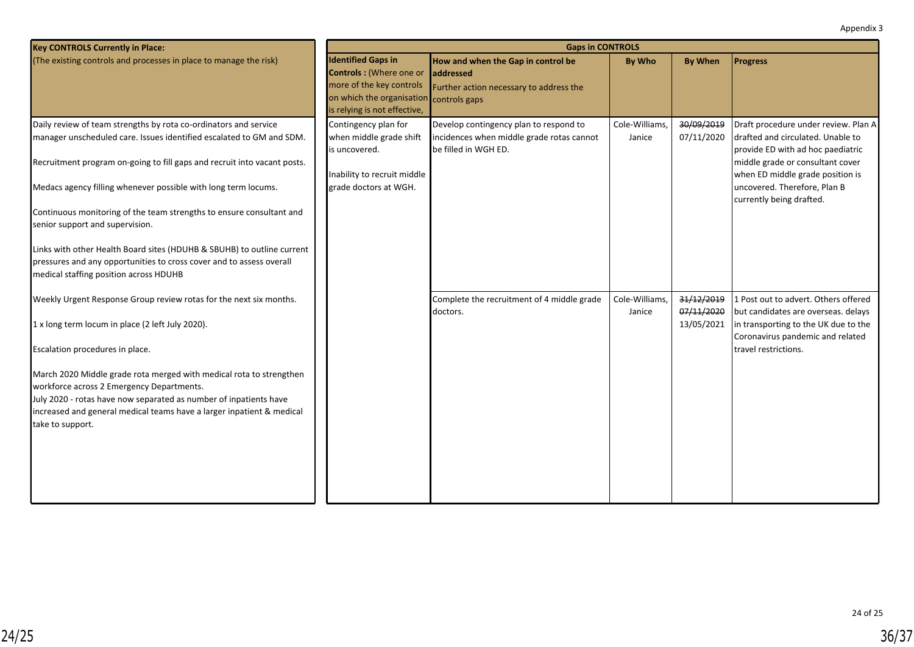| <b>Key CONTROLS Currently in Place:</b>                                                                                                                                                                                                                                                                                                                                                                                                                                                                                                                                                       | <b>Gaps in CONTROLS</b>                                                                                                                              |                                                                                                                    |                          |                                        |                                                                                                                                                                                                                                                    |  |  |  |
|-----------------------------------------------------------------------------------------------------------------------------------------------------------------------------------------------------------------------------------------------------------------------------------------------------------------------------------------------------------------------------------------------------------------------------------------------------------------------------------------------------------------------------------------------------------------------------------------------|------------------------------------------------------------------------------------------------------------------------------------------------------|--------------------------------------------------------------------------------------------------------------------|--------------------------|----------------------------------------|----------------------------------------------------------------------------------------------------------------------------------------------------------------------------------------------------------------------------------------------------|--|--|--|
| (The existing controls and processes in place to manage the risk)                                                                                                                                                                                                                                                                                                                                                                                                                                                                                                                             | <b>Identified Gaps in</b><br><b>Controls: (Where one or</b><br>more of the key controls<br>on which the organisation<br>is relying is not effective, | How and when the Gap in control be<br><b>addressed</b><br>Further action necessary to address the<br>controls gaps | By Who                   | <b>By When</b>                         | <b>Progress</b>                                                                                                                                                                                                                                    |  |  |  |
| Daily review of team strengths by rota co-ordinators and service<br>manager unscheduled care. Issues identified escalated to GM and SDM.<br>Recruitment program on-going to fill gaps and recruit into vacant posts.<br>Medacs agency filling whenever possible with long term locums.<br>Continuous monitoring of the team strengths to ensure consultant and<br>senior support and supervision.<br>Links with other Health Board sites (HDUHB & SBUHB) to outline current<br>pressures and any opportunities to cross cover and to assess overall<br>medical staffing position across HDUHB | Contingency plan for<br>when middle grade shift<br>is uncovered.<br>Inability to recruit middle<br>grade doctors at WGH.                             | Develop contingency plan to respond to<br>incidences when middle grade rotas cannot<br>be filled in WGH ED.        | Cole-Williams,<br>Janice | 30/09/2019<br>07/11/2020               | Draft procedure under review. Plan A<br>drafted and circulated. Unable to<br>provide ED with ad hoc paediatric<br>middle grade or consultant cover<br>when ED middle grade position is<br>uncovered. Therefore, Plan B<br>currently being drafted. |  |  |  |
| Weekly Urgent Response Group review rotas for the next six months.<br>1 x long term locum in place (2 left July 2020).<br>Escalation procedures in place.<br>March 2020 Middle grade rota merged with medical rota to strengthen<br>workforce across 2 Emergency Departments.<br>July 2020 - rotas have now separated as number of inpatients have<br>increased and general medical teams have a larger inpatient & medical<br>take to support.                                                                                                                                               |                                                                                                                                                      | Complete the recruitment of 4 middle grade<br>doctors.                                                             | Cole-Williams,<br>Janice | 31/12/2019<br>07/11/2020<br>13/05/2021 | 1 Post out to advert. Others offered<br>but candidates are overseas. delays<br>in transporting to the UK due to the<br>Coronavirus pandemic and related<br>travel restrictions.                                                                    |  |  |  |